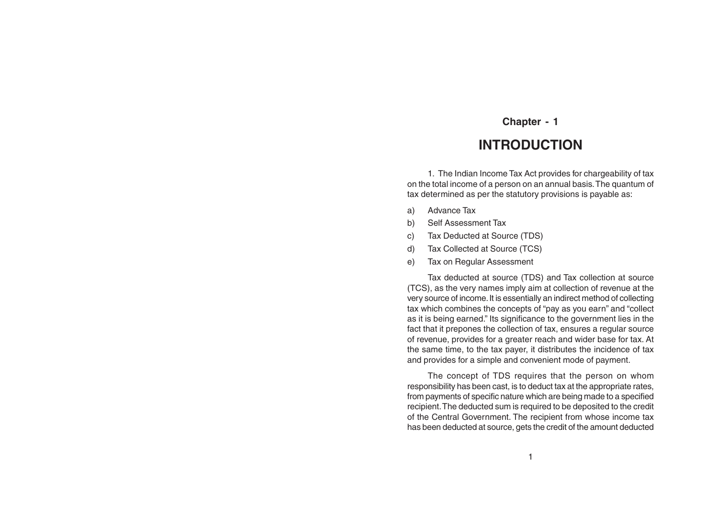# **INTRODUCTION**

1. The Indian Income Tax Act provides for chargeability of tax on the total income of a person on an annual basis. The quantum of tax determined as per the statutory provisions is payable as:

- a) Advance Tax
- b) Self Assessment Tax
- c) Tax Deducted at Source (TDS)
- d) Tax Collected at Source (TCS)
- e) Tax on Regular Assessment

Tax deducted at source (TDS) and Tax collection at source (TCS), as the very names imply aim at collection of revenue at the very source of income. It is essentially an indirect method of collecting tax which combines the concepts of "pay as you earn" and "collect as it is being earned." Its significance to the government lies in the fact that it prepones the collection of tax, ensures a regular source of revenue, provides for a greater reach and wider base for tax. At the same time, to the tax payer, it distributes the incidence of tax and provides for a simple and convenient mode of payment.

The concept of TDS requires that the person on whom responsibility has been cast, is to deduct tax at the appropriate rates, from payments of specific nature which are being made to a specified recipient. The deducted sum is required to be deposited to the credit of the Central Government. The recipient from whose income tax has been deducted at source, gets the credit of the amount deducted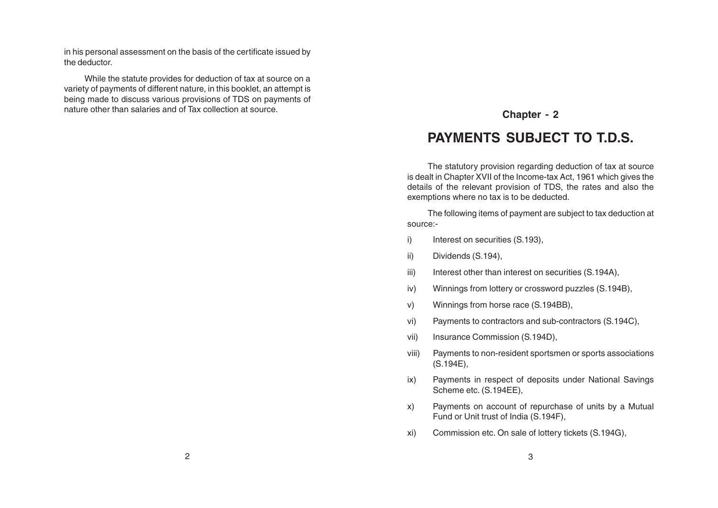in his personal assessment on the basis of the certificate issued by the deductor.

While the statute provides for deduction of tax at source on a variety of payments of different nature, in this booklet, an attempt is being made to discuss various provisions of TDS on payments of nature other than salaries and of Tax collection at source.<br> **Chapter - 2** 

# **PAYMENTS SUBJECT TO T.D.S.**

The statutory provision regarding deduction of tax at source is dealt in Chapter XVII of the Income-tax Act, 1961 which gives the details of the relevant provision of TDS, the rates and also the exemptions where no tax is to be deducted.

The following items of payment are subject to tax deduction at source:-

- i) Interest on securities (S.193),
- ii) Dividends (S.194),
- iii) Interest other than interest on securities (S.194A),
- iv) Winnings from lottery or crossword puzzles (S.194B),
- v) Winnings from horse race (S.194BB),
- vi) Payments to contractors and sub-contractors (S.194C),
- vii) Insurance Commission (S.194D),
- viii) Payments to non-resident sportsmen or sports associations (S.194E),
- ix) Payments in respect of deposits under National Savings Scheme etc. (S.194EE),
- x) Payments on account of repurchase of units by a Mutual Fund or Unit trust of India (S.194F),
- xi) Commission etc. On sale of lottery tickets (S.194G),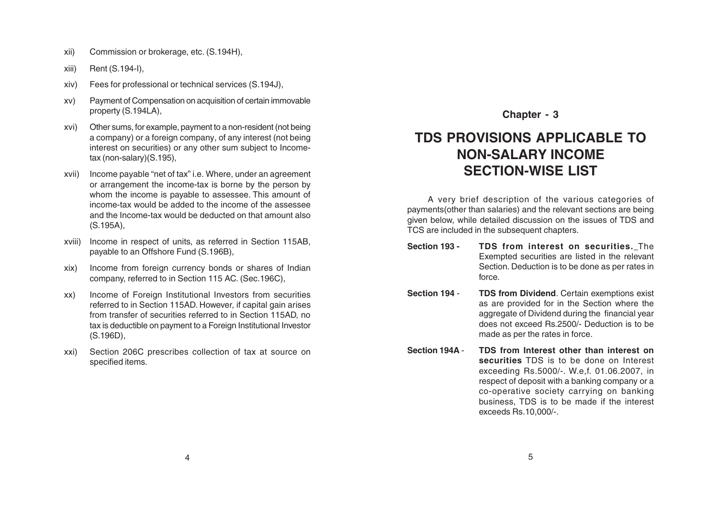- xii) Commission or brokerage, etc. (S.194H),
- xiii) Rent (S.194-I),
- xiv) Fees for professional or technical services (S.194J),
- xv) Payment of Compensation on acquisition of certain immovable property (S.194LA),
- xvi) Other sums, for example, payment to a non-resident (not being a company) or a foreign company, of any interest (not being interest on securities) or any other sum subject to Incometax (non-salary)(S.195),
- xvii) Income payable "net of tax" i.e. Where, under an agreement or arrangement the income-tax is borne by the person by whom the income is payable to assessee. This amount of income-tax would be added to the income of the assessee and the Income-tax would be deducted on that amount also (S.195A),
- xviii) Income in respect of units, as referred in Section 115AB, payable to an Offshore Fund (S.196B),
- xix) Income from foreign currency bonds or shares of Indian company, referred to in Section 115 AC. (Sec.196C),
- xx) Income of Foreign Institutional Investors from securities referred to in Section 115AD. However, if capital gain arises from transfer of securities referred to in Section 115AD, no tax is deductible on payment to a Foreign Institutional Investor (S.196D),
- xxi) Section 206C prescribes collection of tax at source on specified items.

# **TDS PROVISIONS APPLICABLE TO NON-SALARY INCOME SECTION-WISE LIST**

A very brief description of the various categories of payments(other than salaries) and the relevant sections are being given below, while detailed discussion on the issues of TDS and TCS are included in the subsequent chapters.

- **Section 193 - TDS from interest on securities.** The Exempted securities are listed in the relevant Section. Deduction is to be done as per rates in force.
- **Section 194 TDS from Dividend**. Certain exemptions exist as are provided for in the Section where the aggregate of Dividend during the financial year does not exceed Rs.2500/- Deduction is to be made as per the rates in force.
- **Section 194A TDS from Interest other than interest on securities** TDS is to be done on Interest exceeding Rs.5000/-. W.e,f. 01.06.2007, in respect of deposit with a banking company or a co-operative society carrying on banking business, TDS is to be made if the interest exceeds Rs.10,000/-.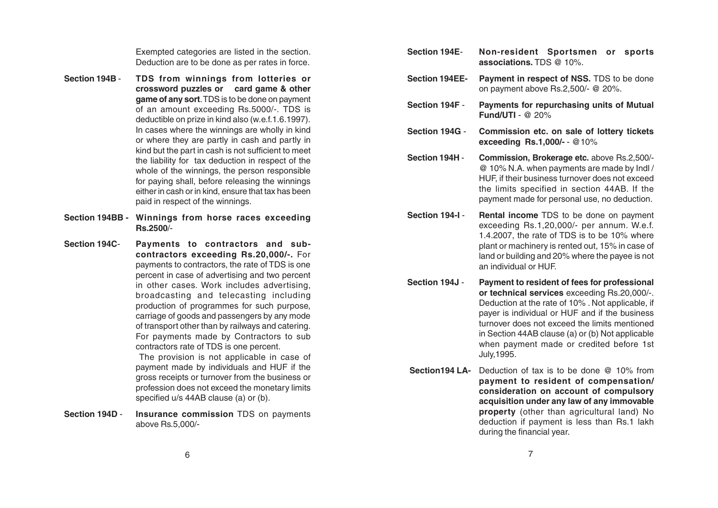Exempted categories are listed in the section. Deduction are to be done as per rates in force.

- **Section 194B TDS from winnings from lotteries or crossword puzzles or card game & other game of any sort**. TDS is to be done on payment of an amount exceeding Rs.5000/-. TDS is deductible on prize in kind also (w.e.f.1.6.1997). In cases where the winnings are wholly in kind or where they are partly in cash and partly in kind but the part in cash is not sufficient to meet the liability for tax deduction in respect of the whole of the winnings, the person responsible for paying shall, before releasing the winnings either in cash or in kind, ensure that tax has been paid in respect of the winnings.
- **Section 194BB - Winnings from horse races exceeding Rs.2500**/-
- **Section 194C Payments to contractors and subcontractors exceeding Rs.20,000/-.** For payments to contractors, the rate of TDS is one percent in case of advertising and two percent in other cases. Work includes advertising, broadcasting and telecasting including production of programmes for such purpose, carriage of goods and passengers by any mode of transport other than by railways and catering. For payments made by Contractors to sub contractors rate of TDS is one percent. The provision is not applicable in case of

payment made by individuals and HUF if the gross receipts or turnover from the business or profession does not exceed the monetary limits specified u/s 44AB clause (a) or (b).

**Section 194D** - **Insurance commission** TDS on payments above Rs.5,000/-

- **Section 194E Non-resident Sportsmen or sports associations.** TDS @ 10%.
- **Section 194EE- Payment in respect of NSS.** TDS to be done on payment above Rs.2,500/- @ 20%.
- **Section 194F Payments for repurchasing units of Mutual Fund/UTI** - @ 20%
- **Section 194G Commission etc. on sale of lottery tickets exceeding Rs.1,000/-** - @10%

**Section 194H** - **Commission, Brokerage etc.** above Rs.2,500/- @ 10% N.A. when payments are made by Indl / HUF, if their business turnover does not exceed the limits specified in section 44AB. If the payment made for personal use, no deduction.

**Section 194-I - Rental income** TDS to be done on payment exceeding Rs.1,20,000/- per annum. W.e.f. 1.4.2007, the rate of TDS is to be 10% where plant or machinery is rented out, 15% in case of land or building and 20% where the payee is not an individual or HUF.

- **Section 194J Payment to resident of fees for professional or technical services** exceeding Rs.20,000/-. Deduction at the rate of 10% . Not applicable, if payer is individual or HUF and if the business turnover does not exceed the limits mentioned in Section 44AB clause (a) or (b) Not applicable when payment made or credited before 1st July,1995.
- **Section194 LA-** Deduction of tax is to be done @ 10% from **payment to resident of compensation/ consideration on account of compulsory acquisition under any law of any immovable property** (other than agricultural land) No deduction if payment is less than Rs.1 lakh during the financial year.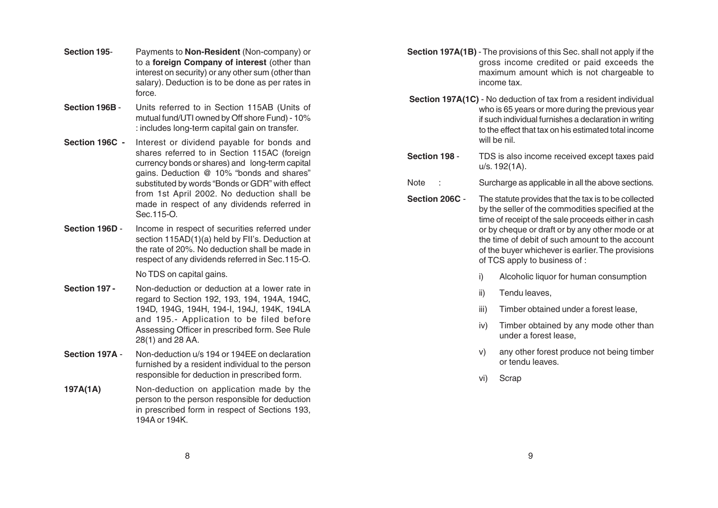- **Section 195** Payments to **Non-Resident** (Non-company) or to a **foreign Company of interest** (other than interest on security) or any other sum (other than salary). Deduction is to be done as per rates in force.
- **Section 196B**  Units referred to in Section 115AB (Units of mutual fund/UTI owned by Off shore Fund) - 10% : includes long-term capital gain on transfer.
- **Section 196C -** Interest or dividend payable for bonds and shares referred to in Section 115AC (foreign currency bonds or shares) and long-term capital gains. Deduction @ 10% "bonds and shares" substituted by words "Bonds or GDR" with effect from 1st April 2002. No deduction shall be made in respect of any dividends referred in Sec.115-O.
- **Section 196D** Income in respect of securities referred under section 115AD(1)(a) held by FII's. Deduction at the rate of 20%. No deduction shall be made in respect of any dividends referred in Sec.115-O.

No TDS on capital gains.

- **Section 197 -** Non-deduction or deduction at a lower rate in regard to Section 192, 193, 194, 194A, 194C, 194D, 194G, 194H, 194-I, 194J, 194K, 194LA and 195.- Application to be filed before Assessing Officer in prescribed form. See Rule 28(1) and 28 AA.
- **Section 197A** Non-deduction u/s 194 or 194FF on declaration furnished by a resident individual to the person responsible for deduction in prescribed form.
- **197A(1A)** Non-deduction on application made by the person to the person responsible for deduction in prescribed form in respect of Sections 193, 194A or 194K.
- **Section 197A(1B)** The provisions of this Sec. shall not apply if the gross income credited or paid exceeds the maximum amount which is not chargeable to income tax.
- **Section 197A(1C)** No deduction of tax from a resident individual who is 65 years or more during the previous year if such individual furnishes a declaration in writing to the effect that tax on his estimated total income will be nil.
- **Section 198 TDS** is also income received except taxes paid u/s. 192(1A).
- Note : Surcharge as applicable in all the above sections.
- **Section 206C** The statute provides that the tax is to be collected by the seller of the commodities specified at the time of receipt of the sale proceeds either in cash or by cheque or draft or by any other mode or at the time of debit of such amount to the account of the buyer whichever is earlier. The provisions of TCS apply to business of :
	- i) Alcoholic liquor for human consumption
	- ii) Tendu leaves,
	- iii) Timber obtained under a forest lease,
	- iv) Timber obtained by any mode other than under a forest lease,
	- v) any other forest produce not being timber or tendu leaves.
	- vi) Scrap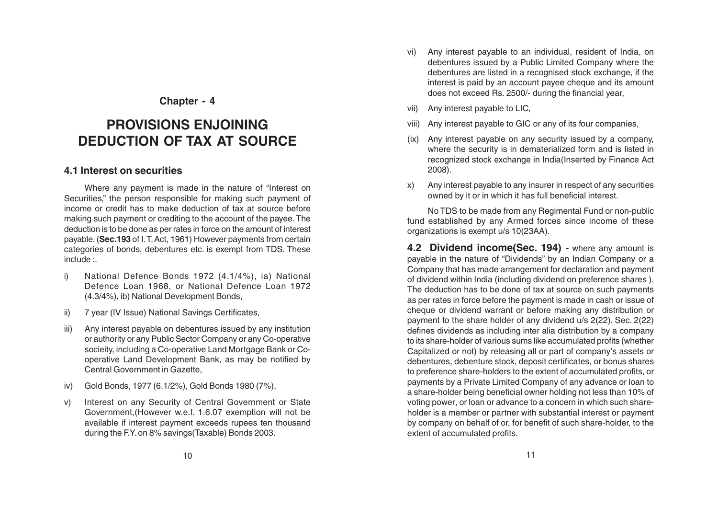# **PROVISIONS ENJOINING DEDUCTION OF TAX AT SOURCE**

#### **4.1 Interest on securities**

Where any payment is made in the nature of "Interest on Securities," the person responsible for making such payment of income or credit has to make deduction of tax at source before making such payment or crediting to the account of the payee. The deduction is to be done as per rates in force on the amount of interest payable. (**Sec.193** of I. T. Act, 1961) However payments from certain categories of bonds, debentures etc. is exempt from TDS. These include :.

- i) National Defence Bonds 1972 (4.1/4%), ia) National Defence Loan 1968, or National Defence Loan 1972 (4.3/4%), ib) National Development Bonds,
- ii) 7 year (IV Issue) National Savings Certificates,
- iii) Any interest payable on debentures issued by any institution or authority or any Public Sector Company or any Co-operative socieity, including a Co-operative Land Mortgage Bank or Cooperative Land Development Bank, as may be notified by Central Government in Gazette,
- iv) Gold Bonds, 1977 (6.1/2%), Gold Bonds 1980 (7%),
- v) Interest on any Security of Central Government or State Government,(However w.e.f. 1.6.07 exemption will not be available if interest payment exceeds rupees ten thousand during the F.Y. on 8% savings(Taxable) Bonds 2003.
- vi) Any interest payable to an individual, resident of India, on debentures issued by a Public Limited Company where the debentures are listed in a recognised stock exchange, if the interest is paid by an account payee cheque and its amount does not exceed Rs. 2500/- during the financial year,
- vii) Any interest payable to LIC,
- viii) Any interest payable to GIC or any of its four companies,
- (ix) Any interest payable on any security issued by a company, where the security is in dematerialized form and is listed in recognized stock exchange in India(Inserted by Finance Act 2008).
- x) Any interest payable to any insurer in respect of any securities owned by it or in which it has full beneficial interest.

No TDS to be made from any Regimental Fund or non-public fund established by any Armed forces since income of these organizations is exempt u/s 10(23AA).

**4.2 Dividend income(Sec. 194)** - where any amount is payable in the nature of "Dividends" by an Indian Company or a Company that has made arrangement for declaration and payment of dividend within India (including dividend on preference shares ). The deduction has to be done of tax at source on such payments as per rates in force before the payment is made in cash or issue of cheque or dividend warrant or before making any distribution or payment to the share holder of any dividend u/s 2(22). Sec. 2(22) defines dividends as including inter alia distribution by a company to its share-holder of various sums like accumulated profits (whether Capitalized or not) by releasing all or part of company's assets or debentures, debenture stock, deposit certificates, or bonus shares to preference share-holders to the extent of accumulated profits, or payments by a Private Limited Company of any advance or loan to a share-holder being beneficial owner holding not less than 10% of voting power, or loan or advance to a concern in which such shareholder is a member or partner with substantial interest or payment by company on behalf of or, for benefit of such share-holder, to the extent of accumulated profits.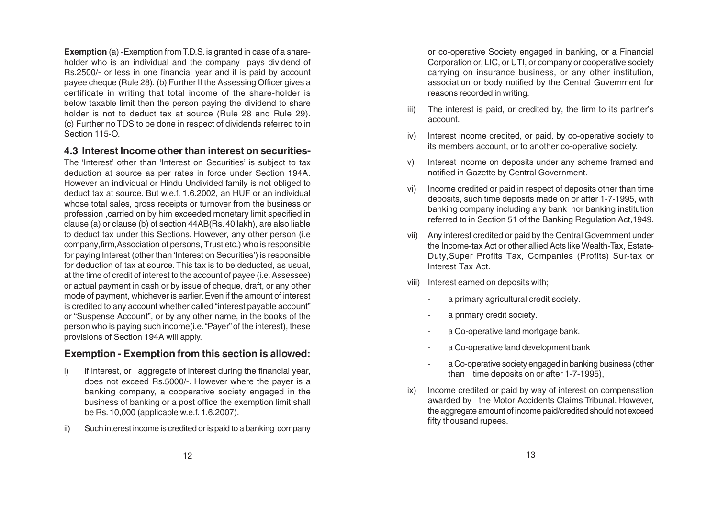**Exemption** (a) -Exemption from T.D.S. is granted in case of a shareholder who is an individual and the company pays dividend of Rs.2500/- or less in one financial year and it is paid by account payee cheque (Rule 28). (b) Further If the Assessing Officer gives a certificate in writing that total income of the share-holder is below taxable limit then the person paying the dividend to share holder is not to deduct tax at source (Rule 28 and Rule 29). (c) Further no TDS to be done in respect of dividends referred to in Section 115-O.

#### **4.3 Interest Income other than interest on securities-**

The 'Interest' other than 'Interest on Securities' is subject to tax deduction at source as per rates in force under Section 194A. However an individual or Hindu Undivided family is not obliged to deduct tax at source. But w.e.f. 1.6.2002, an HUF or an individual whose total sales, gross receipts or turnover from the business or profession ,carried on by him exceeded monetary limit specified in clause (a) or clause (b) of section 44AB(Rs. 40 lakh), are also liable to deduct tax under this Sections. However, any other person (i.e company,firm,Association of persons, Trust etc.) who is responsible for paying Interest (other than 'Interest on Securities') is responsible for deduction of tax at source. This tax is to be deducted, as usual, at the time of credit of interest to the account of payee (i.e. Assessee) or actual payment in cash or by issue of cheque, draft, or any other mode of payment, whichever is earlier. Even if the amount of interest is credited to any account whether called "interest payable account" or "Suspense Account", or by any other name, in the books of the person who is paying such income(i.e. "Payer" of the interest), these provisions of Section 194A will apply.

#### **Exemption - Exemption from this section is allowed:**

- i) if interest, or aggregate of interest during the financial year, does not exceed Rs.5000/-. However where the payer is a banking company, a cooperative society engaged in the business of banking or a post office the exemption limit shall be Rs. 10,000 (applicable w.e.f. 1.6.2007).
- ii) Such interest income is credited or is paid to a banking company

or co-operative Society engaged in banking, or a Financial Corporation or, LIC, or UTI, or company or cooperative society carrying on insurance business, or any other institution, association or body notified by the Central Government for reasons recorded in writing.

- iii) The interest is paid, or credited by, the firm to its partner's account.
- iv) Interest income credited, or paid, by co-operative society to its members account, or to another co-operative society.
- v) Interest income on deposits under any scheme framed and notified in Gazette by Central Government.
- vi) Income credited or paid in respect of deposits other than time deposits, such time deposits made on or after 1-7-1995, with banking company including any bank nor banking institution referred to in Section 51 of the Banking Regulation Act,1949.
- vii) Any interest credited or paid by the Central Government under the Income-tax Act or other allied Acts like Wealth-Tax, Estate-Duty,Super Profits Tax, Companies (Profits) Sur-tax or Interest Tax Act.
- viii) Interest earned on deposits with;
	- a primary agricultural credit society.
	- a primary credit society.
	- a Co-operative land mortgage bank.
	- a Co-operative land development bank
	- a Co-operative society engaged in banking business (other than time deposits on or after 1-7-1995),
- ix) Income credited or paid by way of interest on compensation awarded by the Motor Accidents Claims Tribunal. However, the aggregate amount of income paid/credited should not exceed fifty thousand rupees.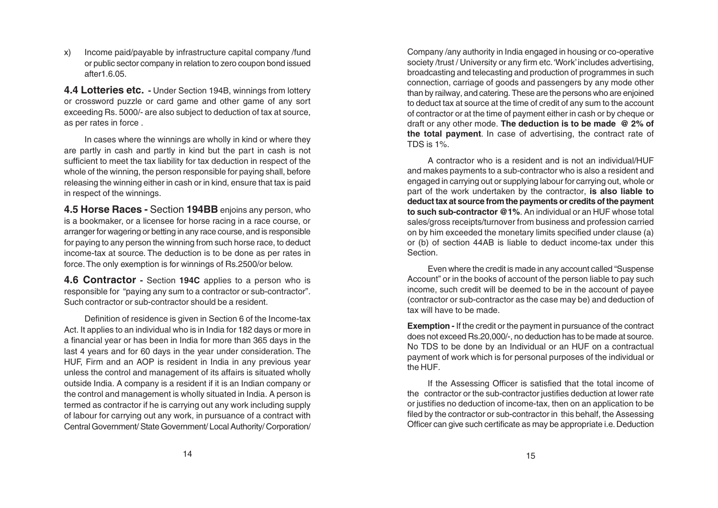x) Income paid/payable by infrastructure capital company /fund or public sector company in relation to zero coupon bond issued after1.6.05.

**4.4 Lotteries etc. -** Under Section 194B, winnings from lottery or crossword puzzle or card game and other game of any sort exceeding Rs. 5000/- are also subject to deduction of tax at source, as per rates in force .

In cases where the winnings are wholly in kind or where they are partly in cash and partly in kind but the part in cash is not sufficient to meet the tax liability for tax deduction in respect of the whole of the winning, the person responsible for paying shall, before releasing the winning either in cash or in kind, ensure that tax is paid in respect of the winnings.

**4.5 Horse Races -** Section **194BB** enjoins any person, who is a bookmaker, or a licensee for horse racing in a race course, or arranger for wagering or betting in any race course, and is responsible for paying to any person the winning from such horse race, to deduct income-tax at source. The deduction is to be done as per rates in force. The only exemption is for winnings of Rs.2500/or below.

**4.6 Contractor -** Section **194C** applies to a person who is responsible for "paying any sum to a contractor or sub-contractor". Such contractor or sub-contractor should be a resident.

Definition of residence is given in Section 6 of the Income-tax Act. It applies to an individual who is in India for 182 days or more in a financial year or has been in India for more than 365 days in the last 4 years and for 60 days in the year under consideration. The HUF, Firm and an AOP is resident in India in any previous year unless the control and management of its affairs is situated wholly outside India. A company is a resident if it is an Indian company or the control and management is wholly situated in India. A person is termed as contractor if he is carrying out any work including supply of labour for carrying out any work, in pursuance of a contract with Central Government/ State Government/ Local Authority/ Corporation/

Company /any authority in India engaged in housing or co-operative society /trust / University or any firm etc. 'Work' includes advertising, broadcasting and telecasting and production of programmes in such connection, carriage of goods and passengers by any mode other than by railway, and catering. These are the persons who are enjoined to deduct tax at source at the time of credit of any sum to the account of contractor or at the time of payment either in cash or by cheque or draft or any other mode. **The deduction is to be made @ 2% of the total payment**. In case of advertising, the contract rate of TDS is 1%.

A contractor who is a resident and is not an individual/HUF and makes payments to a sub-contractor who is also a resident and engaged in carrying out or supplying labour for carrying out, whole or part of the work undertaken by the contractor, **is also liable to deduct tax at source from the payments or credits of the payment to such sub-contractor @1%**. An individual or an HUF whose total sales/gross receipts/turnover from business and profession carried on by him exceeded the monetary limits specified under clause (a) or (b) of section 44AB is liable to deduct income-tax under this Section.

Even where the credit is made in any account called "Suspense Account" or in the books of account of the person liable to pay such income, such credit will be deemed to be in the account of payee (contractor or sub-contractor as the case may be) and deduction of tax will have to be made.

**Exemption -** If the credit or the payment in pursuance of the contract does not exceed Rs.20,000/-, no deduction has to be made at source. No TDS to be done by an Individual or an HUF on a contractual payment of work which is for personal purposes of the individual or the HUF.

If the Assessing Officer is satisfied that the total income of the contractor or the sub-contractor justifies deduction at lower rate or justifies no deduction of income-tax, then on an application to be filed by the contractor or sub-contractor in this behalf, the Assessing Officer can give such certificate as may be appropriate i.e. Deduction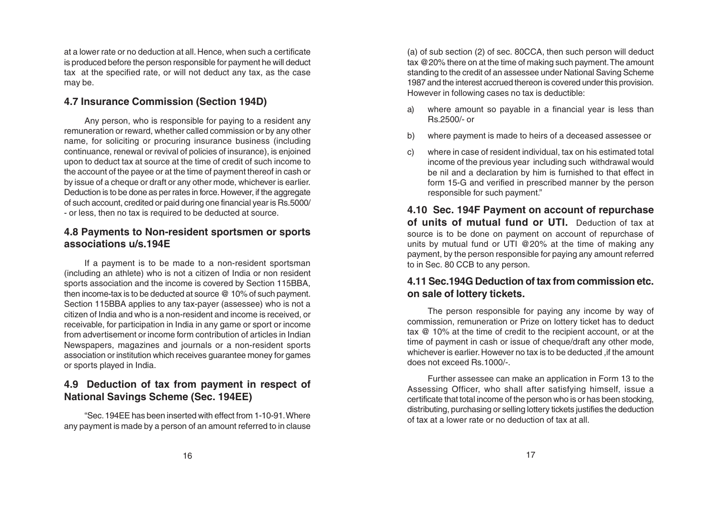at a lower rate or no deduction at all. Hence, when such a certificate is produced before the person responsible for payment he will deduct tax at the specified rate, or will not deduct any tax, as the case may be.

#### **4.7 Insurance Commission (Section 194D)**

Any person, who is responsible for paying to a resident any remuneration or reward, whether called commission or by any other name, for soliciting or procuring insurance business (including continuance, renewal or revival of policies of insurance), is enjoined upon to deduct tax at source at the time of credit of such income to the account of the payee or at the time of payment thereof in cash or by issue of a cheque or draft or any other mode, whichever is earlier. Deduction is to be done as per rates in force. However, if the aggregate of such account, credited or paid during one financial year is Rs.5000/ - or less, then no tax is required to be deducted at source.

#### **4.8 Payments to Non-resident sportsmen or sports associations u/s.194E**

If a payment is to be made to a non-resident sportsman (including an athlete) who is not a citizen of India or non resident sports association and the income is covered by Section 115BBA, then income-tax is to be deducted at source @ 10% of such payment. Section 115BBA applies to any tax-payer (assessee) who is not a citizen of India and who is a non-resident and income is received, or receivable, for participation in India in any game or sport or income from advertisement or income form contribution of articles in Indian Newspapers, magazines and journals or a non-resident sports association or institution which receives guarantee money for games or sports played in India.

# **4.9 Deduction of tax from payment in respect of National Savings Scheme (Sec. 194EE)**

"Sec. 194EE has been inserted with effect from 1-10-91. Where any payment is made by a person of an amount referred to in clause

(a) of sub section (2) of sec. 80CCA, then such person will deduct tax @20% there on at the time of making such payment. The amount standing to the credit of an assessee under National Saving Scheme 1987 and the interest accrued thereon is covered under this provision. However in following cases no tax is deductible:

- a) where amount so payable in a financial year is less than Rs.2500/- or
- b) where payment is made to heirs of a deceased assessee or
- c) where in case of resident individual, tax on his estimated total income of the previous year including such withdrawal would be nil and a declaration by him is furnished to that effect in form 15-G and verified in prescribed manner by the person responsible for such payment."

**4.10 Sec. 194F Payment on account of repurchase of units of mutual fund or UTI.** Deduction of tax at source is to be done on payment on account of repurchase of units by mutual fund or UTI @20% at the time of making any payment, by the person responsible for paying any amount referred to in Sec. 80 CCB to any person.

# **4.11 Sec.194G Deduction of tax from commission etc. on sale of lottery tickets.**

The person responsible for paying any income by way of commission, remuneration or Prize on lottery ticket has to deduct tax @ 10% at the time of credit to the recipient account, or at the time of payment in cash or issue of cheque/draft any other mode, whichever is earlier. However no tax is to be deducted , if the amount does not exceed Rs. 1000/-

Further assessee can make an application in Form 13 to the Assessing Officer, who shall after satisfying himself, issue a certificate that total income of the person who is or has been stocking, distributing, purchasing or selling lottery tickets justifies the deduction of tax at a lower rate or no deduction of tax at all.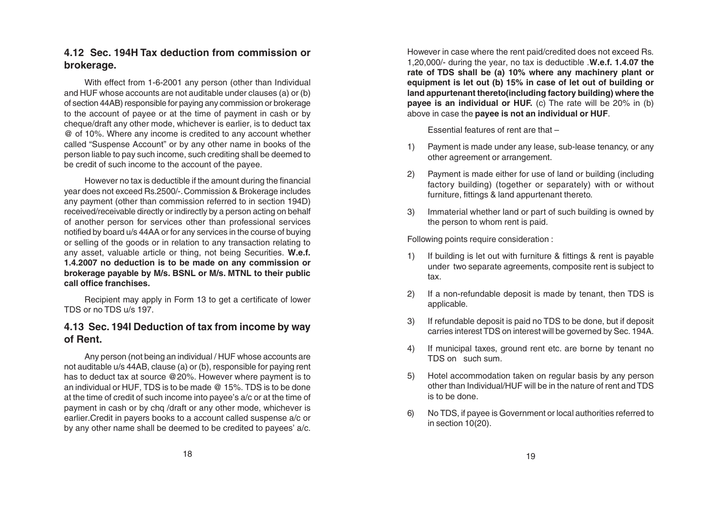#### **4.12 Sec. 194H Tax deduction from commission or brokerage.**

With effect from 1-6-2001 any person (other than Individual and HUF whose accounts are not auditable under clauses (a) or (b) of section 44AB) responsible for paying any commission or brokerage to the account of payee or at the time of payment in cash or by cheque/draft any other mode, whichever is earlier, is to deduct tax @ of 10%. Where any income is credited to any account whether called "Suspense Account" or by any other name in books of the person liable to pay such income, such crediting shall be deemed to be credit of such income to the account of the payee.

However no tax is deductible if the amount during the financial year does not exceed Rs.2500/-. Commission & Brokerage includes any payment (other than commission referred to in section 194D) received/receivable directly or indirectly by a person acting on behalf of another person for services other than professional services notified by board u/s 44AA or for any services in the course of buying or selling of the goods or in relation to any transaction relating to any asset, valuable article or thing, not being Securities. **W.e.f. 1.4.2007 no deduction is to be made on any commission or brokerage payable by M/s. BSNL or M/s. MTNL to their public call office franchises.**

Recipient may apply in Form 13 to get a certificate of lower TDS or no TDS u/s 197.

# **4.13 Sec. 194I Deduction of tax from income by way of Rent.**

Any person (not being an individual / HUF whose accounts are not auditable u/s 44AB, clause (a) or (b), responsible for paying rent has to deduct tax at source @20%. However where payment is to an individual or HUF, TDS is to be made @ 15%. TDS is to be done at the time of credit of such income into payee's a/c or at the time of payment in cash or by chq /draft or any other mode, whichever is earlier.Credit in payers books to a account called suspense a/c or by any other name shall be deemed to be credited to payees' a/c.

However in case where the rent paid/credited does not exceed Rs. 1,20,000/- during the year, no tax is deductible .**W.e.f. 1.4.07 the rate of TDS shall be (a) 10% where any machinery plant or equipment is let out (b) 15% in case of let out of building or land appurtenant thereto(including factory building) where the payee is an individual or HUF.** (c) The rate will be 20% in (b) above in case the **payee is not an individual or HUF**.

Essential features of rent are that –

- 1) Payment is made under any lease, sub-lease tenancy, or any other agreement or arrangement.
- 2) Payment is made either for use of land or building (including factory building) (together or separately) with or without furniture, fittings & land appurtenant thereto.
- 3) Immaterial whether land or part of such building is owned by the person to whom rent is paid.

Following points require consideration :

- 1) If building is let out with furniture & fittings & rent is payable under two separate agreements, composite rent is subject to tax.
- 2) If a non-refundable deposit is made by tenant, then TDS is applicable.
- 3) If refundable deposit is paid no TDS to be done, but if deposit carries interest TDS on interest will be governed by Sec. 194A.
- 4) If municipal taxes, ground rent etc. are borne by tenant no TDS on such sum.
- 5) Hotel accommodation taken on regular basis by any person other than Individual/HUF will be in the nature of rent and TDS is to be done.
- 6) No TDS, if payee is Government or local authorities referred to in section 10(20).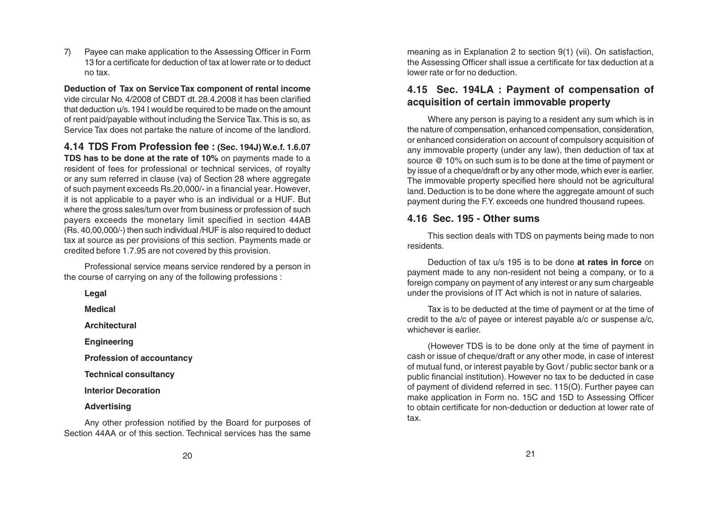7) Payee can make application to the Assessing Officer in Form 13 for a certificate for deduction of tax at lower rate or to deduct no tax.

**Deduction of Tax on Service Tax component of rental income** vide circular No. 4/2008 of CBDT dt. 28.4.2008 it has been clarified that deduction u/s. 194 I would be required to be made on the amount of rent paid/payable without including the Service Tax. This is so, as Service Tax does not partake the nature of income of the landlord.

**4.14 TDS From Profession fee : (Sec. 194J) W.e.f. 1.6.07 TDS has to be done at the rate of 10%** on payments made to a resident of fees for professional or technical services, of royalty or any sum referred in clause (va) of Section 28 where aggregate of such payment exceeds Rs.20,000/- in a financial year. However, it is not applicable to a payer who is an individual or a HUF. But where the gross sales/turn over from business or profession of such payers exceeds the monetary limit specified in section 44AB (Rs. 40,00,000/-) then such individual /HUF is also required to deduct tax at source as per provisions of this section. Payments made or credited before 1.7.95 are not covered by this provision.

Professional service means service rendered by a person in the course of carrying on any of the following professions :

| Legal                            |  |
|----------------------------------|--|
| Medical                          |  |
| <b>Architectural</b>             |  |
| <b>Engineering</b>               |  |
| <b>Profession of accountancy</b> |  |
| <b>Technical consultancy</b>     |  |
| <b>Interior Decoration</b>       |  |
| <b>Advertising</b>               |  |

Any other profession notified by the Board for purposes of Section 44AA or of this section. Technical services has the same meaning as in Explanation 2 to section 9(1) (vii). On satisfaction, the Assessing Officer shall issue a certificate for tax deduction at a lower rate or for no deduction.

# **4.15 Sec. 194LA : Payment of compensation of acquisition of certain immovable property**

Where any person is paying to a resident any sum which is in the nature of compensation, enhanced compensation, consideration, or enhanced consideration on account of compulsory acquisition of any immovable property (under any law), then deduction of tax at source @ 10% on such sum is to be done at the time of payment or by issue of a cheque/draft or by any other mode, which ever is earlier. The immovable property specified here should not be agricultural land. Deduction is to be done where the aggregate amount of such payment during the F.Y. exceeds one hundred thousand rupees.

#### **4.16 Sec. 195 - Other sums**

This section deals with TDS on payments being made to non residents.

Deduction of tax u/s 195 is to be done **at rates in force** on payment made to any non-resident not being a company, or to a foreign company on payment of any interest or any sum chargeable under the provisions of IT Act which is not in nature of salaries.

Tax is to be deducted at the time of payment or at the time of credit to the a/c of payee or interest payable a/c or suspense a/c, whichever is earlier.

(However TDS is to be done only at the time of payment in cash or issue of cheque/draft or any other mode, in case of interest of mutual fund, or interest payable by Govt / public sector bank or a public financial institution). However no tax to be deducted in case of payment of dividend referred in sec. 115(O). Further payee can make application in Form no. 15C and 15D to Assessing Officer to obtain certificate for non-deduction or deduction at lower rate of tax.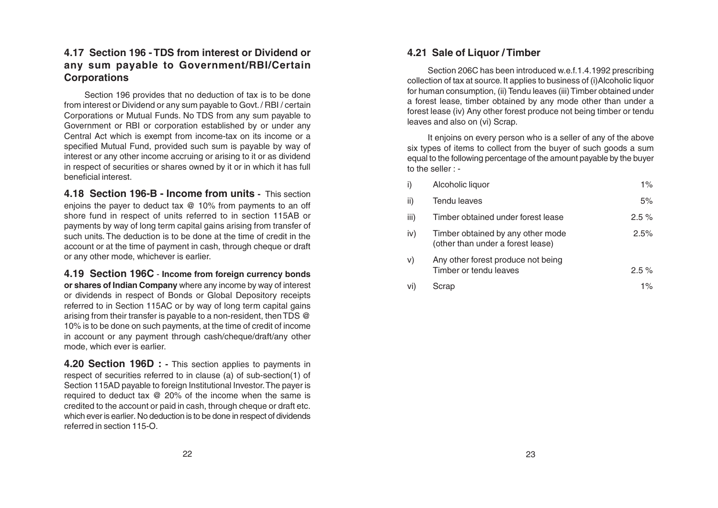# **4.17 Section 196 - TDS from interest or Dividend or any sum payable to Government/RBI/Certain Corporations**

Section 196 provides that no deduction of tax is to be done from interest or Dividend or any sum payable to Govt. / RBI / certain Corporations or Mutual Funds. No TDS from any sum payable to Government or RBI or corporation established by or under any Central Act which is exempt from income-tax on its income or a specified Mutual Fund, provided such sum is payable by way of interest or any other income accruing or arising to it or as dividend in respect of securities or shares owned by it or in which it has full beneficial interest.

**4.18 Section 196-B - Income from units -** This section enjoins the payer to deduct tax @ 10% from payments to an off shore fund in respect of units referred to in section 115AB or payments by way of long term capital gains arising from transfer of such units. The deduction is to be done at the time of credit in the account or at the time of payment in cash, through cheque or draft or any other mode, whichever is earlier.

**4.19 Section 196C** - **Income from foreign currency bonds or shares of Indian Company** where any income by way of interest or dividends in respect of Bonds or Global Depository receipts referred to in Section 115AC or by way of long term capital gains arising from their transfer is payable to a non-resident, then TDS @ 10% is to be done on such payments, at the time of credit of income in account or any payment through cash/cheque/draft/any other mode, which ever is earlier.

**4.20 Section 196D : -** This section applies to payments in respect of securities referred to in clause (a) of sub-section(1) of Section 115AD payable to foreign Institutional Investor. The payer is required to deduct tax @ 20% of the income when the same is credited to the account or paid in cash, through cheque or draft etc. which ever is earlier. No deduction is to be done in respect of dividends referred in section 115-O.

# **4.21 Sale of Liquor / Timber**

Section 206C has been introduced w.e.f.1.4.1992 prescribing collection of tax at source. It applies to business of (i)Alcoholic liquor for human consumption, (ii) Tendu leaves (iii) Timber obtained under a forest lease, timber obtained by any mode other than under a forest lease (iv) Any other forest produce not being timber or tendu leaves and also on (vi) Scrap.

It enjoins on every person who is a seller of any of the above six types of items to collect from the buyer of such goods a sum equal to the following percentage of the amount payable by the buyer to the seller : -

| i)   | Alcoholic liquor                                                       | $1\%$    |
|------|------------------------------------------------------------------------|----------|
| ii)  | Tendu leaves                                                           | 5%       |
| iii) | Timber obtained under forest lease                                     | $2.5 \%$ |
| iv)  | Timber obtained by any other mode<br>(other than under a forest lease) | $2.5\%$  |
| v)   | Any other forest produce not being<br>Timber or tendu leaves           | $2.5 \%$ |
| vi)  | Scrap                                                                  | $1\%$    |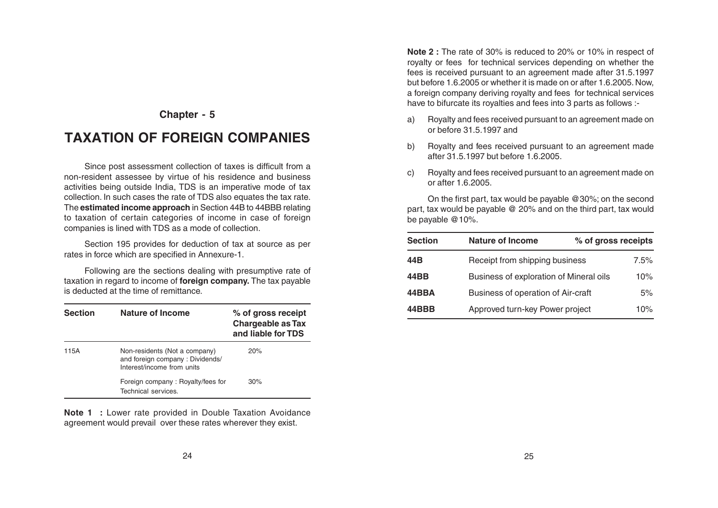# **TAXATION OF FOREIGN COMPANIES**

Since post assessment collection of taxes is difficult from a non-resident assessee by virtue of his residence and business activities being outside India, TDS is an imperative mode of tax collection. In such cases the rate of TDS also equates the tax rate. The **estimated income approach** in Section 44B to 44BBB relating to taxation of certain categories of income in case of foreign companies is lined with TDS as a mode of collection.

Section 195 provides for deduction of tax at source as per rates in force which are specified in Annexure-1.

Following are the sections dealing with presumptive rate of taxation in regard to income of **foreign company.** The tax payable is deducted at the time of remittance.

| <b>Section</b> | Nature of Income                                                                               | % of gross receipt<br><b>Chargeable as Tax</b><br>and liable for TDS |
|----------------|------------------------------------------------------------------------------------------------|----------------------------------------------------------------------|
| 115A           | Non-residents (Not a company)<br>and foreign company: Dividends/<br>Interest/income from units | 20%                                                                  |
|                | Foreign company: Royalty/fees for<br>Technical services.                                       | 30%                                                                  |

**Note 1 :** Lower rate provided in Double Taxation Avoidance agreement would prevail over these rates wherever they exist.

**Note 2 :** The rate of 30% is reduced to 20% or 10% in respect of royalty or fees for technical services depending on whether the fees is received pursuant to an agreement made after 31.5.1997 but before 1.6.2005 or whether it is made on or after 1.6.2005. Now, a foreign company deriving royalty and fees for technical services have to bifurcate its royalties and fees into 3 parts as follows :-

- a) Royalty and fees received pursuant to an agreement made on or before 31.5.1997 and
- b) Royalty and fees received pursuant to an agreement made after 31.5.1997 but before 1.6.2005.
- c) Royalty and fees received pursuant to an agreement made on or after 1.6.2005.

On the first part, tax would be payable @30%; on the second part, tax would be payable @ 20% and on the third part, tax would be payable @10%.

| <b>Section</b> | <b>Nature of Income</b>                  | % of gross receipts |
|----------------|------------------------------------------|---------------------|
| 44B            | Receipt from shipping business           | $7.5\%$             |
| 44BB           | Business of exploration of Mineral oils  | 10%                 |
| 44BBA          | Business of operation of Air-craft<br>5% |                     |
| 44BBB          | Approved turn-key Power project          | 10%                 |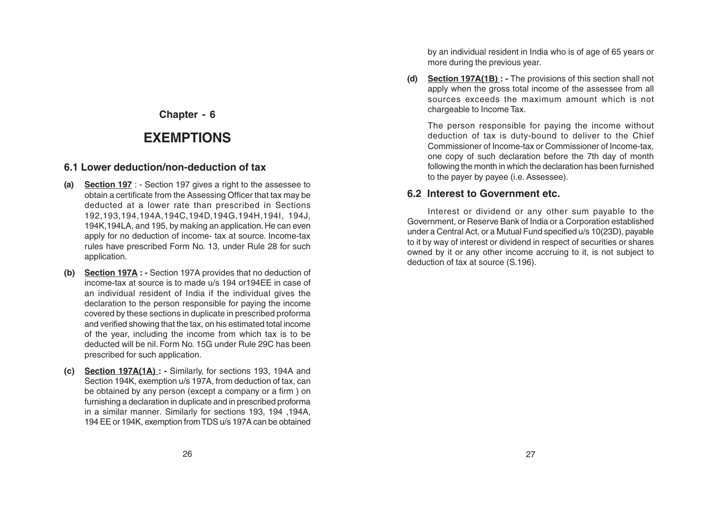# **EXEMPTIONS**

#### **6.1 Lower deduction/non-deduction of tax**

- **(a) Section 197** : Section 197 gives a right to the assessee to obtain a certificate from the Assessing Officer that tax may be deducted at a lower rate than prescribed in Sections 192,193,194,194A,194C,194D,194G,194H,194I, 194J, 194K,194LA, and 195, by making an application. He can even apply for no deduction of income- tax at source. Income-tax rules have prescribed Form No. 13, under Rule 28 for such application.
- **(b) Section 197A : -** Section 197A provides that no deduction of income-tax at source is to made u/s 194 or194EE in case of an individual resident of India if the individual gives the declaration to the person responsible for paying the income covered by these sections in duplicate in prescribed proforma and verified showing that the tax, on his estimated total income of the year, including the income from which tax is to be deducted will be nil. Form No. 15G under Rule 29C has been prescribed for such application.
- **(c) Section 197A(1A) :** Similarly, for sections 193, 194A and Section 194K, exemption u/s 197A, from deduction of tax, can be obtained by any person (except a company or a firm ) on furnishing a declaration in duplicate and in prescribed proforma in a similar manner. Similarly for sections 193, 194, 194A, 194 EE or 194K, exemption from TDS u/s 197A can be obtained

by an individual resident in India who is of age of 65 years or more during the previous year.

**(d) Section 197A(1B) : -** The provisions of this section shall not apply when the gross total income of the assessee from all sources exceeds the maximum amount which is not chargeable to Income Tax.

The person responsible for paying the income without deduction of tax is duty-bound to deliver to the Chief Commissioner of Income-tax or Commissioner of Income-tax, one copy of such declaration before the 7th day of month following the month in which the declaration has been furnished to the payer by payee (i.e. Assessee).

# **6.2 Interest to Government etc.**

Interest or dividend or any other sum payable to the Government, or Reserve Bank of India or a Corporation established under a Central Act, or a Mutual Fund specified u/s 10(23D), payable to it by way of interest or dividend in respect of securities or shares owned by it or any other income accruing to it, is not subject to deduction of tax at source (S.196).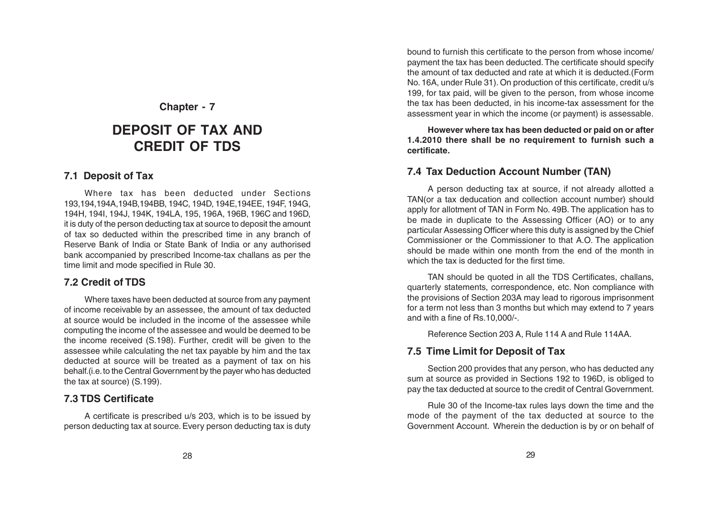# **DEPOSIT OF TAX AND CREDIT OF TDS**

#### **7.1 Deposit of Tax**

Where tax has been deducted under Sections 193,194,194A,194B,194BB, 194C, 194D, 194E,194EE, 194F, 194G, 194H, 194I, 194J, 194K, 194LA, 195, 196A, 196B, 196C and 196D, it is duty of the person deducting tax at source to deposit the amount of tax so deducted within the prescribed time in any branch of Reserve Bank of India or State Bank of India or any authorised bank accompanied by prescribed Income-tax challans as per the time limit and mode specified in Rule 30.

#### **7.2 Credit of TDS**

Where taxes have been deducted at source from any payment of income receivable by an assessee, the amount of tax deducted at source would be included in the income of the assessee while computing the income of the assessee and would be deemed to be the income received (S.198). Further, credit will be given to the assessee while calculating the net tax payable by him and the tax deducted at source will be treated as a payment of tax on his behalf.(i.e. to the Central Government by the payer who has deducted the tax at source) (S.199).

#### **7.3 TDS Certificate**

A certificate is prescribed u/s 203, which is to be issued by person deducting tax at source. Every person deducting tax is duty bound to furnish this certificate to the person from whose income/ payment the tax has been deducted. The certificate should specify the amount of tax deducted and rate at which it is deducted.(Form No. 16A, under Rule 31). On production of this certificate, credit u/s 199, for tax paid, will be given to the person, from whose income the tax has been deducted, in his income-tax assessment for the assessment year in which the income (or payment) is assessable.

**However where tax has been deducted or paid on or after 1.4.2010 there shall be no requirement to furnish such a certificate.**

#### **7.4 Tax Deduction Account Number (TAN)**

A person deducting tax at source, if not already allotted a TAN(or a tax deducation and collection account number) should apply for allotment of TAN in Form No. 49B. The application has to be made in duplicate to the Assessing Officer (AO) or to any particular Assessing Officer where this duty is assigned by the Chief Commissioner or the Commissioner to that A.O. The application should be made within one month from the end of the month in which the tax is deducted for the first time.

TAN should be quoted in all the TDS Certificates, challans, quarterly statements, correspondence, etc. Non compliance with the provisions of Section 203A may lead to rigorous imprisonment for a term not less than 3 months but which may extend to 7 years and with a fine of Rs.10,000/-.

Reference Section 203 A, Rule 114 A and Rule 114AA.

#### **7.5 Time Limit for Deposit of Tax**

Section 200 provides that any person, who has deducted any sum at source as provided in Sections 192 to 196D, is obliged to pay the tax deducted at source to the credit of Central Government.

Rule 30 of the Income-tax rules lays down the time and the mode of the payment of the tax deducted at source to the Government Account. Wherein the deduction is by or on behalf of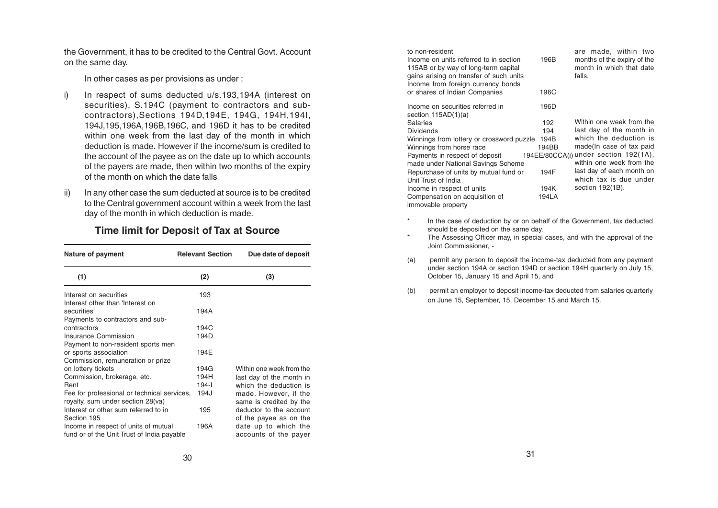the Government, it has to be credited to the Central Govt. Account on the same day.

In other cases as per provisions as under :

- i) In respect of sums deducted u/s.193,194A (interest on securities), S.194C (payment to contractors and subcontractors),Sections 194D,194E, 194G, 194H,194I, 194J,195,196A,196B,196C, and 196D it has to be credited within one week from the last day of the month in which deduction is made. However if the income/sum is credited to the account of the payee as on the date up to which accounts of the payers are made, then within two months of the expiry of the month on which the date falls
- ii) In any other case the sum deducted at source is to be credited to the Central government account within a week from the last day of the month in which deduction is made.

#### **Time limit for Deposit of Tax at Source**

| Nature of payment                                                                   | <b>Relevant Section</b> | Due date of deposit                               |
|-------------------------------------------------------------------------------------|-------------------------|---------------------------------------------------|
| (1)                                                                                 | (2)                     | (3)                                               |
| Interest on securities                                                              | 193                     |                                                   |
| Interest other than 'Interest on<br>securities'<br>Payments to contractors and sub- | 194A                    |                                                   |
| contractors                                                                         | 194C                    |                                                   |
| Insurance Commission                                                                | 194D                    |                                                   |
| Payment to non-resident sports men                                                  |                         |                                                   |
| or sports association                                                               | 194E                    |                                                   |
| Commission, remuneration or prize                                                   |                         |                                                   |
| on lottery tickets                                                                  | 194G                    | Within one week from the                          |
| Commission, brokerage, etc.                                                         | 194H                    | last day of the month in                          |
| Rent                                                                                | $194 - 1$               | which the deduction is                            |
| Fee for professional or technical services,<br>royalty, sum under section 28(va)    | 194J                    | made. However, if the<br>same is credited by the  |
| Interest or other sum referred to in<br>Section 195                                 | 195                     | deductor to the account<br>of the payee as on the |
| Income in respect of units of mutual<br>fund or of the Unit Trust of India payable  | 196A                    | date up to which the<br>accounts of the payer     |

| to non-resident<br>Income on units referred to in section<br>115AB or by way of long-term capital<br>gains arising on transfer of such units<br>Income from foreign currency bonds<br>or shares of Indian Companies | 196B<br>196C | are made, within two<br>months of the expiry of the<br>month in which that date<br>falls. |
|---------------------------------------------------------------------------------------------------------------------------------------------------------------------------------------------------------------------|--------------|-------------------------------------------------------------------------------------------|
| Income on securities referred in<br>section $115AD(1)(a)$                                                                                                                                                           | 196D         |                                                                                           |
| <b>Salaries</b>                                                                                                                                                                                                     | 192          | Within one week from the                                                                  |
| <b>Dividends</b>                                                                                                                                                                                                    | 194          | last day of the month in                                                                  |
| Winnings from lottery or crossword puzzle                                                                                                                                                                           | 194B         | which the deduction is                                                                    |
| Winnings from horse race                                                                                                                                                                                            | 194BB        | made(In case of tax paid                                                                  |
| Payments in respect of deposit                                                                                                                                                                                      |              | 194EE/80CCA(i) under section 192(1A),                                                     |
| made under National Savings Scheme                                                                                                                                                                                  |              | within one week from the                                                                  |
| Repurchase of units by mutual fund or                                                                                                                                                                               | 194F         | last day of each month on                                                                 |
| Unit Trust of India                                                                                                                                                                                                 |              | which tax is due under                                                                    |
| Income in respect of units                                                                                                                                                                                          | 194K         | section 192(1B).                                                                          |
| Compensation on acquisition of                                                                                                                                                                                      | 194LA        |                                                                                           |
| immovable property                                                                                                                                                                                                  |              |                                                                                           |

- \* In the case of deduction by or on behalf of the Government, tax deducted should be deposited on the same day.
- \* The Assessing Officer may, in special cases, and with the approval of the Joint Commissioner, -
- (a) permit any person to deposit the income-tax deducted from any payment under section 194A or section 194D or section 194H quarterly on July 15, October 15, January 15 and April 15, and
- (b) permit an employer to deposit income-tax deducted from salaries quarterly on June 15, September, 15, December 15 and March 15.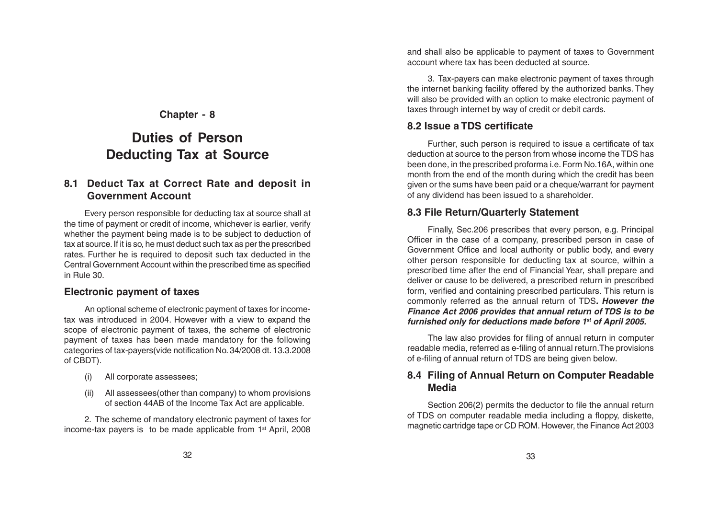# **Duties of Person Deducting Tax at Source**

#### **8.1 Deduct Tax at Correct Rate and deposit in Government Account**

Every person responsible for deducting tax at source shall at the time of payment or credit of income, whichever is earlier, verify whether the payment being made is to be subject to deduction of tax at source. If it is so, he must deduct such tax as per the prescribed rates. Further he is required to deposit such tax deducted in the Central Government Account within the prescribed time as specified in Rule 30.

#### **Electronic payment of taxes**

An optional scheme of electronic payment of taxes for incometax was introduced in 2004. However with a view to expand the scope of electronic payment of taxes, the scheme of electronic payment of taxes has been made mandatory for the following categories of tax-payers(vide notification No. 34/2008 dt. 13.3.2008 of CBDT).

- (i) All corporate assessees;
- (ii) All assessees(other than company) to whom provisions of section 44AB of the Income Tax Act are applicable.

2. The scheme of mandatory electronic payment of taxes for income-tax payers is to be made applicable from 1<sup>st</sup> April, 2008 and shall also be applicable to payment of taxes to Government account where tax has been deducted at source.

3. Tax-payers can make electronic payment of taxes through the internet banking facility offered by the authorized banks. They will also be provided with an option to make electronic payment of taxes through internet by way of credit or debit cards.

#### **8.2 Issue a TDS certificate**

Further, such person is required to issue a certificate of tax deduction at source to the person from whose income the TDS has been done, in the prescribed proforma i.e. Form No.16A, within one month from the end of the month during which the credit has been given or the sums have been paid or a cheque/warrant for payment of any dividend has been issued to a shareholder.

#### **8.3 File Return/Quarterly Statement**

Finally, Sec.206 prescribes that every person, e.g. Principal Officer in the case of a company, prescribed person in case of Government Office and local authority or public body, and every other person responsible for deducting tax at source, within a prescribed time after the end of Financial Year, shall prepare and deliver or cause to be delivered, a prescribed return in prescribed form, verified and containing prescribed particulars. This return is commonly referred as the annual return of TDS**. However the Finance Act 2006 provides that annual return of TDS is to be furnished only for deductions made before 1st of April 2005.**

The law also provides for filing of annual return in computer readable media, referred as e-filing of annual return.The provisions of e-filing of annual return of TDS are being given below.

#### **8.4 Filing of Annual Return on Computer Readable Media**

Section 206(2) permits the deductor to file the annual return of TDS on computer readable media including a floppy, diskette, magnetic cartridge tape or CD ROM. However, the Finance Act 2003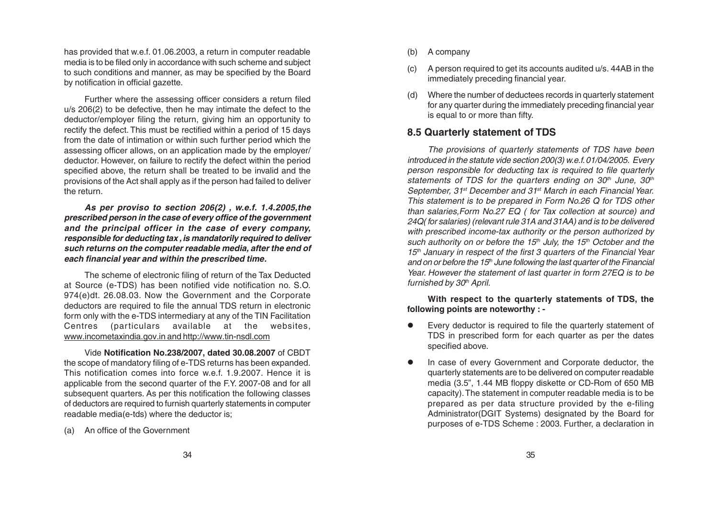has provided that w.e.f. 01.06.2003, a return in computer readable media is to be filed only in accordance with such scheme and subject to such conditions and manner, as may be specified by the Board by notification in official gazette.

Further where the assessing officer considers a return filed u/s 206(2) to be defective, then he may intimate the defect to the deductor/employer filing the return, giving him an opportunity to rectify the defect. This must be rectified within a period of 15 days from the date of intimation or within such further period which the assessing officer allows, on an application made by the employer/ deductor. However, on failure to rectify the defect within the period specified above, the return shall be treated to be invalid and the provisions of the Act shall apply as if the person had failed to deliver the return.

**As per proviso to section 206(2) , w.e.f. 1.4.2005,the prescribed person in the case of every office of the government and the principal officer in the case of every company, responsible for deducting tax , is mandatorily required to deliver such returns on the computer readable media, after the end of each financial year and within the prescribed time.**

The scheme of electronic filing of return of the Tax Deducted at Source (e-TDS) has been notified vide notification no. S.O. 974(e)dt. 26.08.03. Now the Government and the Corporate deductors are required to file the annual TDS return in electronic form only with the e-TDS intermediary at any of the TIN Facilitation Centres (particulars available at the websites, www.incometaxindia.gov.in and http://www.tin-nsdl.com

Vide **Notification No.238/2007, dated 30.08.2007** of CBDT the scope of mandatory filing of e-TDS returns has been expanded. This notification comes into force w.e.f. 1.9.2007. Hence it is applicable from the second quarter of the F.Y. 2007-08 and for all subsequent quarters. As per this notification the following classes of deductors are required to furnish quarterly statements in computer readable media(e-tds) where the deductor is;

(a) An office of the Government

- (b) A company
- (c) A person required to get its accounts audited u/s. 44AB in the immediately preceding financial year.
- (d) Where the number of deductees records in quarterly statement for any quarter during the immediately preceding financial year is equal to or more than fifty.

### **8.5 Quarterly statement of TDS**

The provisions of quarterly statements of TDS have been introduced in the statute vide section 200(3) w.e.f. 01/04/2005. Every person responsible for deducting tax is required to file quarterly statements of TDS for the quarters ending on  $30<sup>th</sup>$  June,  $30<sup>th</sup>$ September, 31<sup>st</sup> December and 31<sup>st</sup> March in each Financial Year. This statement is to be prepared in Form No.26 Q for TDS other than salaries,Form No.27 EQ ( for Tax collection at source) and 24Q( for salaries) (relevant rule 31A and 31AA) and is to be delivered with prescribed income-tax authority or the person authorized by such authority on or before the 15<sup>th</sup> July, the 15<sup>th</sup> October and the  $15<sup>th</sup>$  January in respect of the first 3 quarters of the Financial Year and on or before the 15<sup>th</sup> June following the last quarter of the Financial Year. However the statement of last quarter in form 27EQ is to be furnished by  $30<sup>th</sup>$  April.

**With respect to the quarterly statements of TDS, the following points are noteworthy : -**

- Every deductor is required to file the quarterly statement of TDS in prescribed form for each quarter as per the dates specified above.
- In case of every Government and Corporate deductor, the quarterly statements are to be delivered on computer readable media (3.5", 1.44 MB floppy diskette or CD-Rom of 650 MB capacity). The statement in computer readable media is to be prepared as per data structure provided by the e-filing Administrator(DGIT Systems) designated by the Board for purposes of e-TDS Scheme : 2003. Further, a declaration in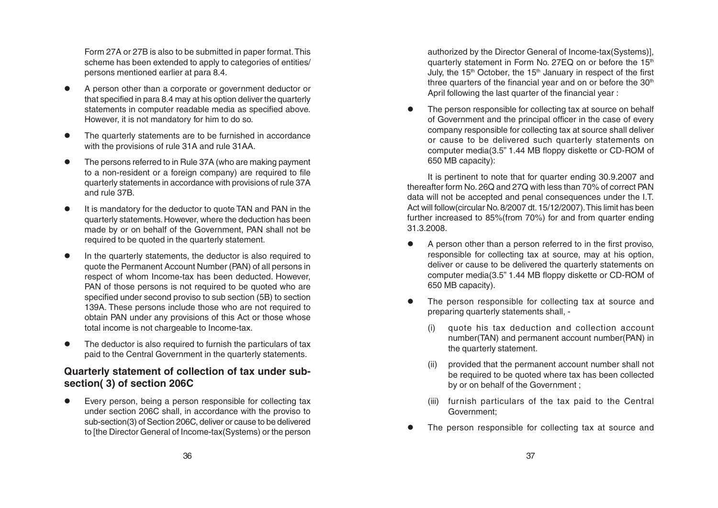Form 27A or 27B is also to be submitted in paper format. This scheme has been extended to apply to categories of entities/ persons mentioned earlier at para 8.4.

- A person other than a corporate or government deductor or that specified in para 8.4 may at his option deliver the quarterly statements in computer readable media as specified above. However, it is not mandatory for him to do so.
- The quarterly statements are to be furnished in accordance with the provisions of rule 31A and rule 31AA.
- The persons referred to in Rule 37A (who are making payment to a non-resident or a foreign company) are required to file quarterly statements in accordance with provisions of rule 37A and rule 37B.
- It is mandatory for the deductor to quote TAN and PAN in the quarterly statements. However, where the deduction has been made by or on behalf of the Government, PAN shall not be required to be quoted in the quarterly statement.
- In the quarterly statements, the deductor is also required to quote the Permanent Account Number (PAN) of all persons in respect of whom Income-tax has been deducted. However, PAN of those persons is not required to be quoted who are specified under second proviso to sub section (5B) to section 139A. These persons include those who are not required to obtain PAN under any provisions of this Act or those whose total income is not chargeable to Income-tax.
- The deductor is also required to furnish the particulars of tax paid to the Central Government in the quarterly statements.

# **Quarterly statement of collection of tax under subsection( 3) of section 206C**

Every person, being a person responsible for collecting tax under section 206C shall, in accordance with the proviso to sub-section(3) of Section 206C, deliver or cause to be delivered to [the Director General of Income-tax(Systems) or the person

authorized by the Director General of Income-tax(Systems)], quarterly statement in Form No. 27EQ on or before the 15<sup>th</sup> July, the  $15<sup>th</sup>$  October, the  $15<sup>th</sup>$  January in respect of the first three quarters of the financial year and on or before the  $30<sup>th</sup>$ April following the last quarter of the financial year :

The person responsible for collecting tax at source on behalf of Government and the principal officer in the case of every company responsible for collecting tax at source shall deliver or cause to be delivered such quarterly statements on computer media(3.5" 1.44 MB floppy diskette or CD-ROM of 650 MB capacity):

It is pertinent to note that for quarter ending 30.9.2007 and thereafter form No. 26Q and 27Q with less than 70% of correct PAN data will not be accepted and penal consequences under the I.T. Act will follow(circular No. 8/2007 dt. 15/12/2007). This limit has been further increased to 85%(from 70%) for and from quarter ending 31.3.2008.

- A person other than a person referred to in the first proviso, responsible for collecting tax at source, may at his option, deliver or cause to be delivered the quarterly statements on computer media(3.5" 1.44 MB floppy diskette or CD-ROM of 650 MB capacity).
- The person responsible for collecting tax at source and preparing quarterly statements shall,
	- quote his tax deduction and collection account number(TAN) and permanent account number(PAN) in the quarterly statement.
	- (ii) provided that the permanent account number shall not be required to be quoted where tax has been collected by or on behalf of the Government ;
	- (iii) furnish particulars of the tax paid to the Central Government;
- The person responsible for collecting tax at source and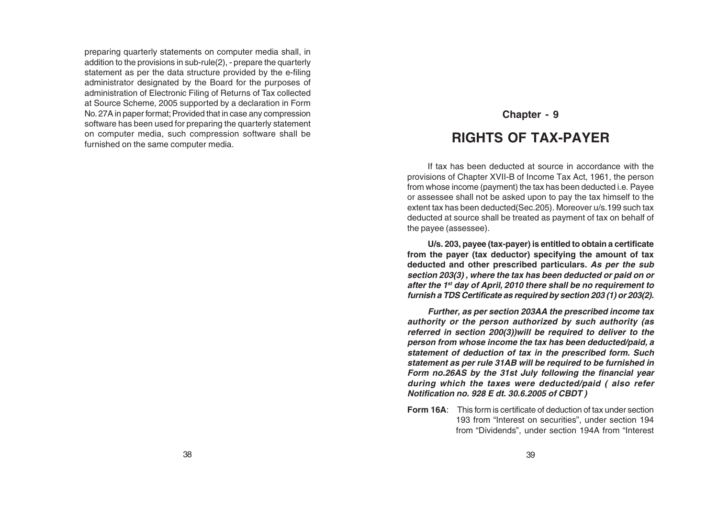preparing quarterly statements on computer media shall, in addition to the provisions in sub-rule(2), - prepare the quarterly statement as per the data structure provided by the e-filing administrator designated by the Board for the purposes of administration of Electronic Filing of Returns of Tax collected at Source Scheme, 2005 supported by a declaration in Form No. 27A in paper format; Provided that in case any compression software has been used for preparing the quarterly statement on computer media, such compression software shall be furnished on the same computer media.

# **Chapter - 9 RIGHTS OF TAX-PAYER**

If tax has been deducted at source in accordance with the provisions of Chapter XVII-B of Income Tax Act, 1961, the person from whose income (payment) the tax has been deducted i.e. Payee or assessee shall not be asked upon to pay the tax himself to the extent tax has been deducted(Sec.205). Moreover u/s.199 such tax deducted at source shall be treated as payment of tax on behalf of the payee (assessee).

**U/s. 203, payee (tax-payer) is entitled to obtain a certificate from the payer (tax deductor) specifying the amount of tax deducted and other prescribed particulars. As per the sub section 203(3) , where the tax has been deducted or paid on or after the 1st day of April, 2010 there shall be no requirement to furnish a TDS Certificate as required by section 203 (1) or 203(2).**

**Further, as per section 203AA the prescribed income tax authority or the person authorized by such authority (as referred in section 200(3))will be required to deliver to the person from whose income the tax has been deducted/paid, a statement of deduction of tax in the prescribed form. Such statement as per rule 31AB will be required to be furnished in Form no.26AS by the 31st July following the financial year during which the taxes were deducted/paid ( also refer Notification no. 928 E dt. 30.6.2005 of CBDT )**

**Form 16A**: This form is certificate of deduction of tax under section 193 from "Interest on securities", under section 194 from "Dividends", under section 194A from "Interest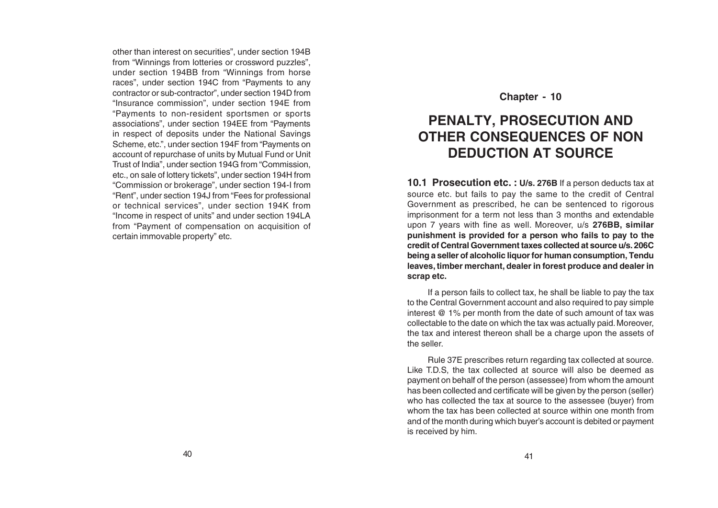other than interest on securities", under section 194B from "Winnings from lotteries or crossword puzzles", under section 194BB from "Winnings from horse races", under section 194C from "Payments to any contractor or sub-contractor", under section 194D from "Insurance commission", under section 194E from "Payments to non-resident sportsmen or sports associations", under section 194EE from "Payments in respect of deposits under the National Savings Scheme, etc.", under section 194F from "Payments on account of repurchase of units by Mutual Fund or Unit Trust of India", under section 194G from "Commission, etc., on sale of lottery tickets", under section 194H from "Commission or brokerage", under section 194-I from "Rent", under section 194J from "Fees for professional or technical services", under section 194K from "Income in respect of units" and under section 194LA from "Payment of compensation on acquisition of certain immovable property" etc.

#### **Chapter - 10**

# **PENALTY, PROSECUTION AND OTHER CONSEQUENCES OF NON DEDUCTION AT SOURCE**

**10.1 Prosecution etc. : U/s. 276B** If a person deducts tax at source etc. but fails to pay the same to the credit of Central Government as prescribed, he can be sentenced to rigorous imprisonment for a term not less than 3 months and extendable upon 7 years with fine as well. Moreover, u/s **276BB, similar punishment is provided for a person who fails to pay to the credit of Central Government taxes collected at source u/s. 206C being a seller of alcoholic liquor for human consumption, Tendu leaves, timber merchant, dealer in forest produce and dealer in scrap etc.**

If a person fails to collect tax, he shall be liable to pay the tax to the Central Government account and also required to pay simple interest @ 1% per month from the date of such amount of tax was collectable to the date on which the tax was actually paid. Moreover, the tax and interest thereon shall be a charge upon the assets of the seller.

Rule 37E prescribes return regarding tax collected at source. Like T.D.S, the tax collected at source will also be deemed as payment on behalf of the person (assessee) from whom the amount has been collected and certificate will be given by the person (seller) who has collected the tax at source to the assessee (buyer) from whom the tax has been collected at source within one month from and of the month during which buyer's account is debited or payment is received by him.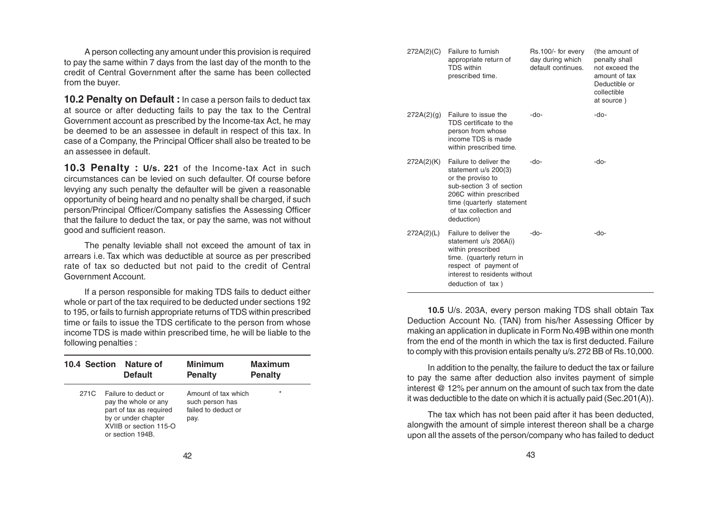A person collecting any amount under this provision is required to pay the same within 7 days from the last day of the month to the credit of Central Government after the same has been collected from the buyer.

**10.2 Penalty on Default :** In case a person fails to deduct tax at source or after deducting fails to pay the tax to the Central Government account as prescribed by the Income-tax Act, he may be deemed to be an assessee in default in respect of this tax. In case of a Company, the Principal Officer shall also be treated to be an assessee in default.

**10.3 Penalty : U/s. 221** of the Income-tax Act in such circumstances can be levied on such defaulter. Of course before levying any such penalty the defaulter will be given a reasonable opportunity of being heard and no penalty shall be charged, if such person/Principal Officer/Company satisfies the Assessing Officer that the failure to deduct the tax, or pay the same, was not without good and sufficient reason.

The penalty leviable shall not exceed the amount of tax in arrears i.e. Tax which was deductible at source as per prescribed rate of tax so deducted but not paid to the credit of Central Government Account.

If a person responsible for making TDS fails to deduct either whole or part of the tax required to be deducted under sections 192 to 195, or fails to furnish appropriate returns of TDS within prescribed time or fails to issue the TDS certificate to the person from whose income TDS is made within prescribed time, he will be liable to the following penalties :

| 10.4 Section | Nature of<br><b>Default</b>                                                                                                                  | <b>Minimum</b><br><b>Penalty</b>                                      | <b>Maximum</b><br><b>Penalty</b> |
|--------------|----------------------------------------------------------------------------------------------------------------------------------------------|-----------------------------------------------------------------------|----------------------------------|
| 271C         | Failure to deduct or<br>pay the whole or any<br>part of tax as required<br>by or under chapter<br>XVIIB or section 115-O<br>or section 194B. | Amount of tax which<br>such person has<br>failed to deduct or<br>pay. | $\star$                          |

| 272A(2)(C) | Failure to furnish<br>appropriate return of<br><b>TDS</b> within<br>prescribed time.                                                                                                            | Rs.100/- for every<br>day during which<br>default continues. | (the amount of<br>penalty shall<br>not exceed the<br>amount of tax<br>Deductible or<br>collectible<br>at source) |
|------------|-------------------------------------------------------------------------------------------------------------------------------------------------------------------------------------------------|--------------------------------------------------------------|------------------------------------------------------------------------------------------------------------------|
| 272A(2)(q) | Failure to issue the<br>TDS certificate to the<br>person from whose<br>income TDS is made<br>within prescribed time.                                                                            | -do-                                                         | -do-                                                                                                             |
| 272A(2)(K) | Failure to deliver the<br>statement $u/s$ 200(3)<br>or the proviso to<br>sub-section 3 of section<br>206C within prescribed<br>time (quarterly statement<br>of tax collection and<br>deduction) | -do-                                                         | -do-                                                                                                             |
| 272A(2)(L) | Failure to deliver the<br>statement u/s 206A(i)<br>within prescribed<br>time. (quarterly return in<br>respect of payment of<br>interest to residents without<br>deduction of tax)               | -do-                                                         | -do-                                                                                                             |

**10.5** U/s. 203A, every person making TDS shall obtain Tax Deduction Account No. (TAN) from his/her Assessing Officer by making an application in duplicate in Form No.49B within one month from the end of the month in which the tax is first deducted. Failure to comply with this provision entails penalty u/s. 272 BB of Rs.10,000.

In addition to the penalty, the failure to deduct the tax or failure to pay the same after deduction also invites payment of simple interest @ 12% per annum on the amount of such tax from the date it was deductible to the date on which it is actually paid (Sec.201(A)).

The tax which has not been paid after it has been deducted, alongwith the amount of simple interest thereon shall be a charge upon all the assets of the person/company who has failed to deduct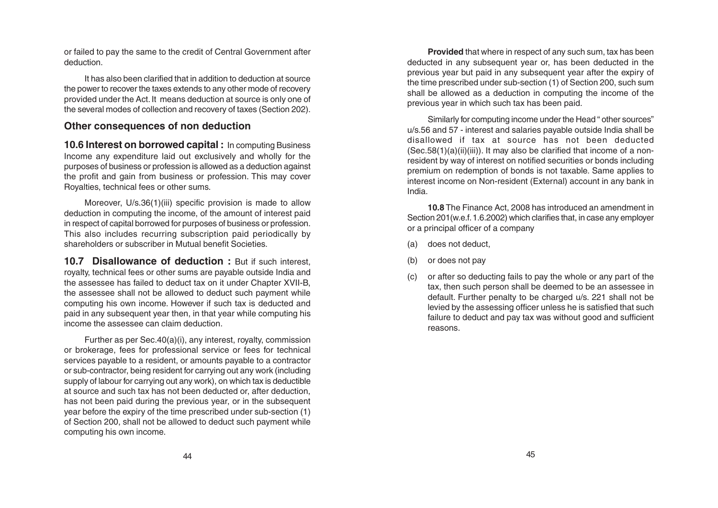or failed to pay the same to the credit of Central Government after deduction.

It has also been clarified that in addition to deduction at source the power to recover the taxes extends to any other mode of recovery provided under the Act. It means deduction at source is only one of the several modes of collection and recovery of taxes (Section 202).

#### **Other consequences of non deduction**

**10.6 Interest on borrowed capital :** In computing Business Income any expenditure laid out exclusively and wholly for the purposes of business or profession is allowed as a deduction against the profit and gain from business or profession. This may cover Royalties, technical fees or other sums.

Moreover, U/s.36(1)(iii) specific provision is made to allow deduction in computing the income, of the amount of interest paid in respect of capital borrowed for purposes of business or profession. This also includes recurring subscription paid periodically by shareholders or subscriber in Mutual benefit Societies.

10.7 Disallowance of deduction : But if such interest, royalty, technical fees or other sums are payable outside India and the assessee has failed to deduct tax on it under Chapter XVII-B, the assessee shall not be allowed to deduct such payment while computing his own income. However if such tax is deducted and paid in any subsequent year then, in that year while computing his income the assessee can claim deduction.

Further as per Sec.40(a)(i), any interest, royalty, commission or brokerage, fees for professional service or fees for technical services payable to a resident, or amounts payable to a contractor or sub-contractor, being resident for carrying out any work (including supply of labour for carrying out any work), on which tax is deductible at source and such tax has not been deducted or, after deduction, has not been paid during the previous year, or in the subsequent year before the expiry of the time prescribed under sub-section (1) of Section 200, shall not be allowed to deduct such payment while computing his own income.

**Provided** that where in respect of any such sum, tax has been deducted in any subsequent year or, has been deducted in the previous year but paid in any subsequent year after the expiry of the time prescribed under sub-section (1) of Section 200, such sum shall be allowed as a deduction in computing the income of the previous year in which such tax has been paid.

Similarly for computing income under the Head " other sources" u/s.56 and 57 - interest and salaries payable outside India shall be disallowed if tax at source has not been deducted  $(Sec.58(1)(a)(ii)(iii))$ . It may also be clarified that income of a nonresident by way of interest on notified securities or bonds including premium on redemption of bonds is not taxable. Same applies to interest income on Non-resident (External) account in any bank in India.

**10.8** The Finance Act, 2008 has introduced an amendment in Section 201(w.e.f. 1.6.2002) which clarifies that, in case any employer or a principal officer of a company

- (a) does not deduct,
- (b) or does not pay
- (c) or after so deducting fails to pay the whole or any part of the tax, then such person shall be deemed to be an assessee in default. Further penalty to be charged u/s. 221 shall not be levied by the assessing officer unless he is satisfied that such failure to deduct and pay tax was without good and sufficient reasons.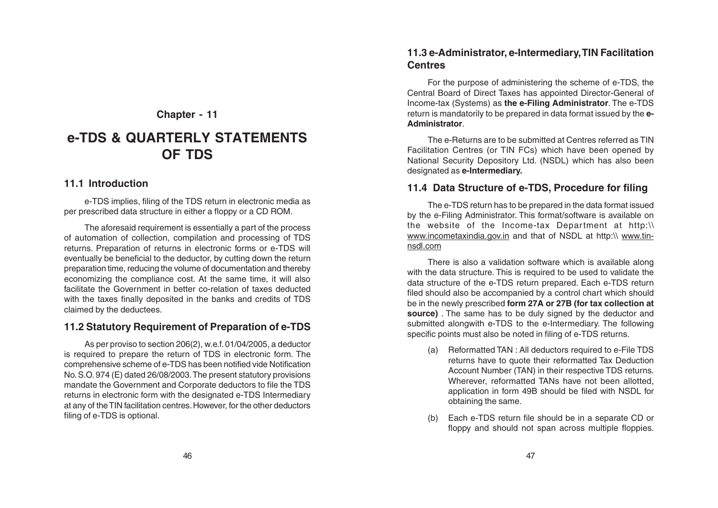# **e-TDS & QUARTERLY STATEMENTS OF TDS**

#### **11.1 Introduction**

e-TDS implies, filing of the TDS return in electronic media as per prescribed data structure in either a floppy or a CD ROM.

The aforesaid requirement is essentially a part of the process of automation of collection, compilation and processing of TDS returns. Preparation of returns in electronic forms or e-TDS will eventually be beneficial to the deductor, by cutting down the return preparation time, reducing the volume of documentation and thereby economizing the compliance cost. At the same time, it will also facilitate the Government in better co-relation of taxes deducted with the taxes finally deposited in the banks and credits of TDS claimed by the deductees.

#### **11.2 Statutory Requirement of Preparation of e-TDS**

As per proviso to section 206(2), w.e.f. 01/04/2005, a deductor is required to prepare the return of TDS in electronic form. The comprehensive scheme of e-TDS has been notified vide Notification No. S.O. 974 (E) dated 26/08/2003. The present statutory provisions mandate the Government and Corporate deductors to file the TDS returns in electronic form with the designated e-TDS Intermediary at any of the TIN facilitation centres. However, for the other deductors filing of e-TDS is optional.

#### **11.3 e-Administrator, e-Intermediary, TIN Facilitation Centres**

For the purpose of administering the scheme of e-TDS, the Central Board of Direct Taxes has appointed Director-General of Income-tax (Systems) as **the e-Filing Administrator**. The e-TDS return is mandatorily to be prepared in data format issued by the **e-Administrator**.

The e-Returns are to be submitted at Centres referred as TIN Facilitation Centres (or TIN FCs) which have been opened by National Security Depository Ltd. (NSDL) which has also been designated as **e-Intermediary.**

#### **11.4 Data Structure of e-TDS, Procedure for filing**

The e-TDS return has to be prepared in the data format issued by the e-Filing Administrator. This format/software is available on the website of the Income-tax Department at http:\\ www.incometaxindia.gov.in and that of NSDL at http:\\ www.tinnsdl.com

There is also a validation software which is available along with the data structure. This is required to be used to validate the data structure of the e-TDS return prepared. Each e-TDS return filed should also be accompanied by a control chart which should be in the newly prescribed **form 27A or 27B (for tax collection at source)** . The same has to be duly signed by the deductor and submitted alongwith e-TDS to the e-Intermediary. The following specific points must also be noted in filing of e-TDS returns.

- (a) Reformatted TAN : All deductors required to e-File TDS returns have to quote their reformatted Tax Deduction Account Number (TAN) in their respective TDS returns. Wherever, reformatted TANs have not been allotted, application in form 49B should be filed with NSDL for obtaining the same.
- (b) Each e-TDS return file should be in a separate CD or floppy and should not span across multiple floppies.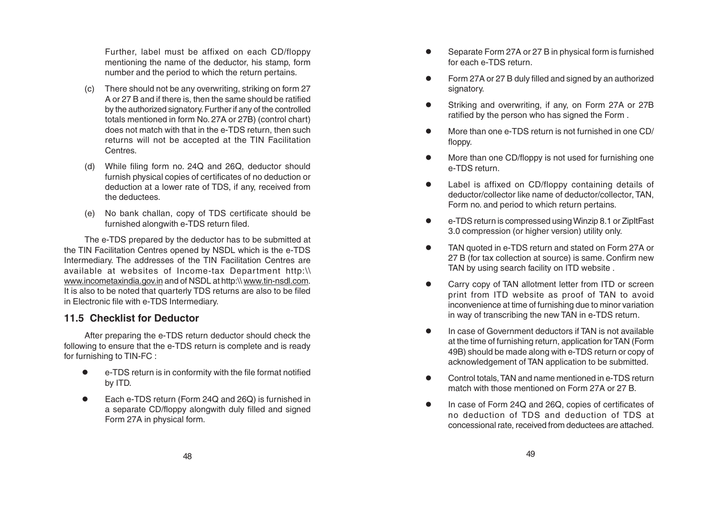Further, label must be affixed on each CD/floppy mentioning the name of the deductor, his stamp, form number and the period to which the return pertains.

- (c) There should not be any overwriting, striking on form 27 A or 27 B and if there is, then the same should be ratified by the authorized signatory. Further if any of the controlled totals mentioned in form No. 27A or 27B) (control chart) does not match with that in the e-TDS return, then such returns will not be accepted at the TIN Facilitation Centres.
- (d) While filing form no. 24Q and 26Q, deductor should furnish physical copies of certificates of no deduction or deduction at a lower rate of TDS, if any, received from the deductees.
- (e) No bank challan, copy of TDS certificate should be furnished alongwith e-TDS return filed.

The e-TDS prepared by the deductor has to be submitted at the TIN Facilitation Centres opened by NSDL which is the e-TDS Intermediary. The addresses of the TIN Facilitation Centres are available at websites of Income-tax Department http:\\ www.incometaxindia.gov.in and of NSDL at http:\\ www.tin-nsdl.com. It is also to be noted that quarterly TDS returns are also to be filed in Electronic file with e-TDS Intermediary.

#### **11.5 Checklist for Deductor**

After preparing the e-TDS return deductor should check the following to ensure that the e-TDS return is complete and is ready for furnishing to TIN-FC :

- e-TDS return is in conformity with the file format notified by ITD.
- Each e-TDS return (Form 24Q and 26Q) is furnished in a separate CD/floppy alongwith duly filled and signed Form 27A in physical form.
- Separate Form 27A or 27 B in physical form is furnished for each e-TDS return.
- Form 27A or 27 B duly filled and signed by an authorized signatory.
- Striking and overwriting, if any, on Form 27A or 27B ratified by the person who has signed the Form .
- More than one e-TDS return is not furnished in one CD/ floppy.
- More than one CD/floppy is not used for furnishing one e-TDS return.
- Label is affixed on CD/floppy containing details of deductor/collector like name of deductor/collector, TAN, Form no. and period to which return pertains.
- e-TDS return is compressed using Winzip 8.1 or ZipItFast 3.0 compression (or higher version) utility only.
- TAN quoted in e-TDS return and stated on Form 27A or 27 B (for tax collection at source) is same. Confirm new TAN by using search facility on ITD website .
- Carry copy of TAN allotment letter from ITD or screen print from ITD website as proof of TAN to avoid inconvenience at time of furnishing due to minor variation in way of transcribing the new TAN in e-TDS return.
- In case of Government deductors if TAN is not available at the time of furnishing return, application for TAN (Form 49B) should be made along with e-TDS return or copy of acknowledgement of TAN application to be submitted.
- Control totals, TAN and name mentioned in e-TDS return match with those mentioned on Form 27A or 27 B.
- In case of Form 24Q and 26Q, copies of certificates of no deduction of TDS and deduction of TDS at concessional rate, received from deductees are attached.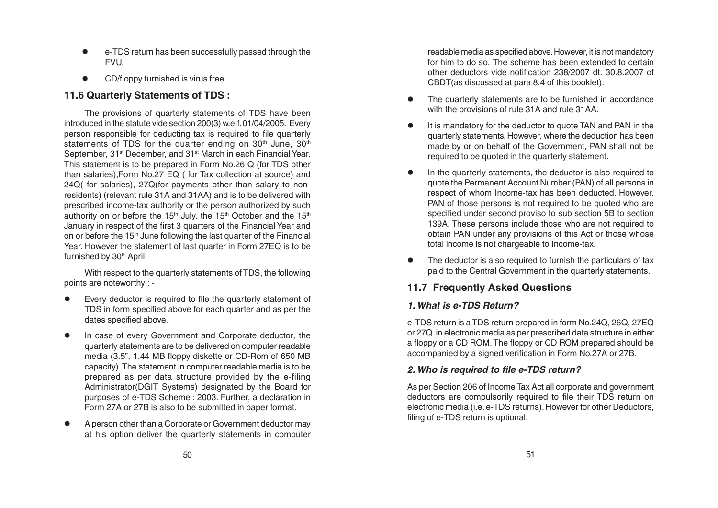- e-TDS return has been successfully passed through the **FVU.**
- CD/floppy furnished is virus free.

# **11.6 Quarterly Statements of TDS :**

The provisions of quarterly statements of TDS have been introduced in the statute vide section 200(3) w.e.f. 01/04/2005. Every person responsible for deducting tax is required to file quarterly statements of TDS for the quarter ending on  $30<sup>th</sup>$  June,  $30<sup>th</sup>$ September, 31<sup>st</sup> December, and 31<sup>st</sup> March in each Financial Year. This statement is to be prepared in Form No.26 Q (for TDS other than salaries),Form No.27 EQ ( for Tax collection at source) and 24Q( for salaries), 27Q(for payments other than salary to nonresidents) (relevant rule 31A and 31AA) and is to be delivered with prescribed income-tax authority or the person authorized by such authority on or before the 15<sup>th</sup> July, the 15<sup>th</sup> October and the 15<sup>th</sup> January in respect of the first 3 quarters of the Financial Year and on or before the 15<sup>th</sup> June following the last quarter of the Financial Year. However the statement of last quarter in Form 27EQ is to be furnished by 30<sup>th</sup> April.

With respect to the quarterly statements of TDS, the following points are noteworthy : -

- Every deductor is required to file the quarterly statement of TDS in form specified above for each quarter and as per the dates specified above.
- In case of every Government and Corporate deductor, the quarterly statements are to be delivered on computer readable media (3.5", 1.44 MB floppy diskette or CD-Rom of 650 MB capacity). The statement in computer readable media is to be prepared as per data structure provided by the e-filing Administrator(DGIT Systems) designated by the Board for purposes of e-TDS Scheme : 2003. Further, a declaration in Form 27A or 27B is also to be submitted in paper format.
- A person other than a Corporate or Government deductor may at his option deliver the quarterly statements in computer

readable media as specified above. However, it is not mandatory for him to do so. The scheme has been extended to certain other deductors vide notification 238/2007 dt. 30.8.2007 of CBDT(as discussed at para 8.4 of this booklet).

- The quarterly statements are to be furnished in accordance with the provisions of rule 31A and rule 31AA.
- It is mandatory for the deductor to quote TAN and PAN in the quarterly statements. However, where the deduction has been made by or on behalf of the Government, PAN shall not be required to be quoted in the quarterly statement.
- In the quarterly statements, the deductor is also required to quote the Permanent Account Number (PAN) of all persons in respect of whom Income-tax has been deducted. However, PAN of those persons is not required to be quoted who are specified under second proviso to sub section 5B to section 139A. These persons include those who are not required to obtain PAN under any provisions of this Act or those whose total income is not chargeable to Income-tax.
- The deductor is also required to furnish the particulars of tax paid to the Central Government in the quarterly statements.

# **11.7 Frequently Asked Questions**

#### **1. What is e-TDS Return?**

e-TDS return is a TDS return prepared in form No.24Q, 26Q, 27EQ or 27Q in electronic media as per prescribed data structure in either a floppy or a CD ROM. The floppy or CD ROM prepared should be accompanied by a signed verification in Form No.27A or 27B.

# **2. Who is required to file e-TDS return?**

As per Section 206 of Income Tax Act all corporate and government deductors are compulsorily required to file their TDS return on electronic media (i.e. e-TDS returns). However for other Deductors, filing of e-TDS return is optional.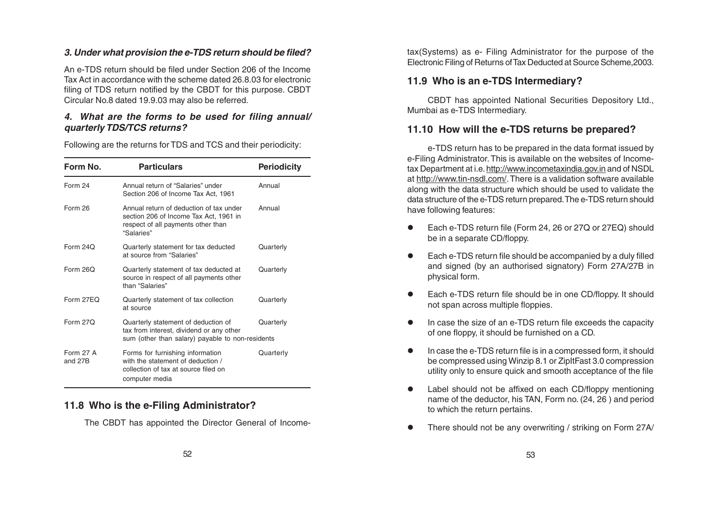#### **3. Under what provision the e-TDS return should be filed?**

An e-TDS return should be filed under Section 206 of the Income Tax Act in accordance with the scheme dated 26.8.03 for electronic filing of TDS return notified by the CBDT for this purpose. CBDT Circular No.8 dated 19.9.03 may also be referred.

#### **4. What are the forms to be used for filing annual/ quarterly TDS/TCS returns?**

Following are the returns for TDS and TCS and their periodicity:

| Form No.                    | <b>Particulars</b>                                                                                                                    | <b>Periodicity</b> |
|-----------------------------|---------------------------------------------------------------------------------------------------------------------------------------|--------------------|
| Form 24                     | Annual return of "Salaries" under<br>Section 206 of Income Tax Act, 1961                                                              | Annual             |
| Form 26                     | Annual return of deduction of tax under<br>section 206 of Income Tax Act, 1961 in<br>respect of all payments other than<br>"Salaries" | Annual             |
| Form 24Q                    | Quarterly statement for tax deducted<br>at source from "Salaries"                                                                     | Quarterly          |
| Form $260$                  | Quarterly statement of tax deducted at<br>source in respect of all payments other<br>than "Salaries"                                  | Quarterly          |
| Form 27FO                   | Quarterly statement of tax collection<br>at source                                                                                    | Quarterly          |
| Form $270$                  | Quarterly statement of deduction of<br>tax from interest, dividend or any other<br>sum (other than salary) payable to non-residents   | Quarterly          |
| <b>Form 27 A</b><br>and 27B | Forms for furnishing information<br>with the statement of deduction /<br>collection of tax at source filed on<br>computer media       | Quarterly          |

# **11.8 Who is the e-Filing Administrator?**

The CBDT has appointed the Director General of Income-

tax(Systems) as e- Filing Administrator for the purpose of the Electronic Filing of Returns of Tax Deducted at Source Scheme,2003.

# **11.9 Who is an e-TDS Intermediary?**

CBDT has appointed National Securities Depository Ltd., Mumbai as e-TDS Intermediary.

# **11.10 How will the e-TDS returns be prepared?**

e-TDS return has to be prepared in the data format issued by e-Filing Administrator. This is available on the websites of Income tax Department at i.e. <u>http://www.incometaxindia.gov.in</u> and of NSDL at http://www.tin-nsdl.com/. There is a validation software available along with the data structure which should be used to validate the data structure of the e-TDS return prepared. The e-TDS return should have following features:

- Each e-TDS return file (Form 24, 26 or 27Q or 27EQ) should be in a separate CD/floppy.
- Each e-TDS return file should be accompanied by a duly filled and signed (by an authorised signatory) Form 27A/27B in physical form.
- Each e-TDS return file should be in one CD/floppy. It should not span across multiple floppies.
- In case the size of an e-TDS return file exceeds the capacity of one floppy, it should be furnished on a CD.
- In case the e-TDS return file is in a compressed form, it should be compressed using Winzip 8.1 or ZipItFast 3.0 compression utility only to ensure quick and smooth acceptance of the file
- Label should not be affixed on each CD/floppy mentioning name of the deductor, his TAN, Form no. (24, 26 ) and period to which the return pertains.
- There should not be any overwriting / striking on Form 27A/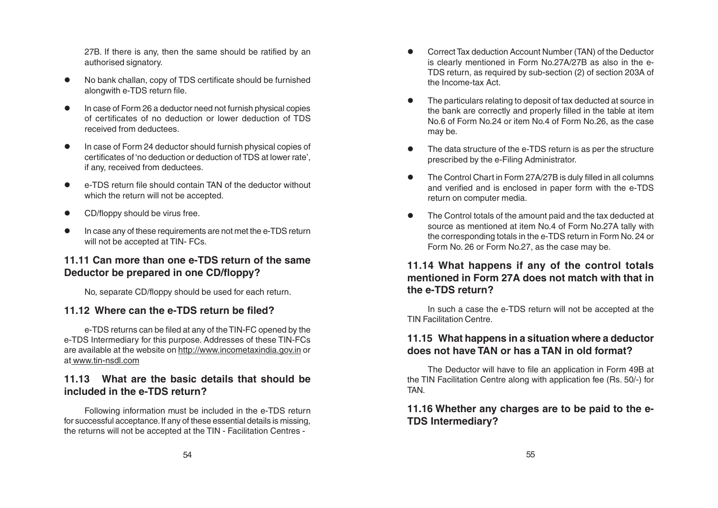27B. If there is any, then the same should be ratified by an authorised signatory.

- No bank challan, copy of TDS certificate should be furnished alongwith e-TDS return file.
- In case of Form 26 a deductor need not furnish physical copies of certificates of no deduction or lower deduction of TDS received from deductees.
- In case of Form 24 deductor should furnish physical copies of certificates of 'no deduction or deduction of TDS at lower rate', if any, received from deductees.
- e-TDS return file should contain TAN of the deductor without which the return will not be accepted.
- CD/floppy should be virus free.
- In case any of these requirements are not met the e-TDS return will not be accepted at TIN- FCs.

# **11.11 Can more than one e-TDS return of the same Deductor be prepared in one CD/floppy?**

No, separate CD/floppy should be used for each return.

#### **11.12 Where can the e-TDS return be filed?**

e-TDS returns can be filed at any of the TIN-FC opened by the e-TDS Intermediary for this purpose. Addresses of these TIN-FCs are available at the website on <u>http://www.incometaxindia.gov.in</u> or at www.tin-nsdl.com

# **11.13 What are the basic details that should be included in the e-TDS return?**

Following information must be included in the e-TDS return for successful acceptance. If any of these essential details is missing, the returns will not be accepted at the TIN - Facilitation Centres -

- Correct Tax deduction Account Number (TAN) of the Deductor is clearly mentioned in Form No.27A/27B as also in the e-TDS return, as required by sub-section (2) of section 203A of the Income-tax Act.
- The particulars relating to deposit of tax deducted at source in the bank are correctly and properly filled in the table at item No.6 of Form No.24 or item No.4 of Form No.26, as the case may be.
- The data structure of the e-TDS return is as per the structure prescribed by the e-Filing Administrator.
- The Control Chart in Form 27A/27B is duly filled in all columns and verified and is enclosed in paper form with the e-TDS return on computer media.
- The Control totals of the amount paid and the tax deducted at source as mentioned at item No.4 of Form No.27A tally with the corresponding totals in the e-TDS return in Form No. 24 or Form No. 26 or Form No.27, as the case may be.

# **11.14 What happens if any of the control totals mentioned in Form 27A does not match with that in the e-TDS return?**

In such a case the e-TDS return will not be accepted at the TIN Facilitation Centre.

# **11.15 What happens in a situation where a deductor does not have TAN or has a TAN in old format?**

The Deductor will have to file an application in Form 49B at the TIN Facilitation Centre along with application fee (Rs. 50/-) for **TAN** 

### **11.16 Whether any charges are to be paid to the e-TDS Intermediary?**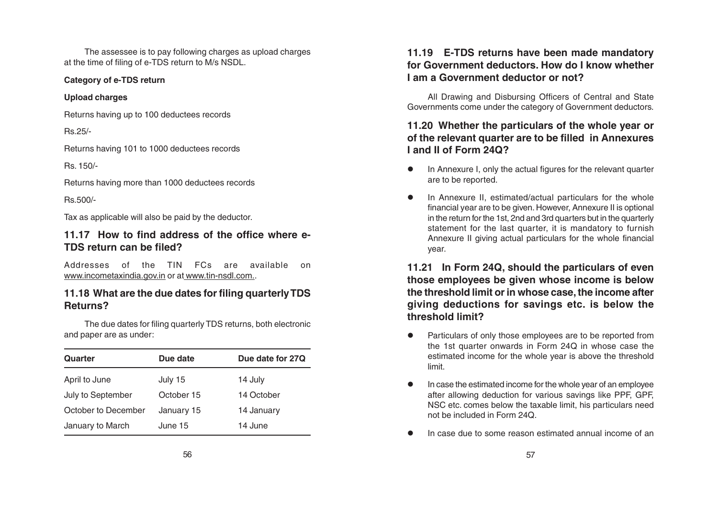The assessee is to pay following charges as upload charges at the time of filing of e-TDS return to M/s NSDL.

#### **Category of e-TDS return**

#### **Upload charges**

Returns having up to 100 deductees records

Rs.25/-

Returns having 101 to 1000 deductees records

Rs. 150/-

Returns having more than 1000 deductees records

Rs.500/-

Tax as applicable will also be paid by the deductor.

# **11.17 How to find address of the office where e-TDS return can be filed?**

Addresses of the TIN FCs are available on <u>www.incometaxindia.gov.in</u> or at <u>www.tin-nsdl.com.</u>.

# **11.18 What are the due dates for filing quarterly TDS Returns?**

The due dates for filing quarterly TDS returns, both electronic and paper are as under:

| Quarter             | Due date   | Due date for 27Q |
|---------------------|------------|------------------|
| April to June       | July 15    | 14 July          |
| July to September   | October 15 | 14 October       |
| October to December | January 15 | 14 January       |
| January to March    | June 15    | 14 June          |

# **11.19 E-TDS returns have been made mandatory for Government deductors. How do I know whether I am a Government deductor or not?**

All Drawing and Disbursing Officers of Central and State Governments come under the category of Government deductors.

# **11.20 Whether the particulars of the whole year or of the relevant quarter are to be filled in Annexures I and II of Form 24Q?**

- In Annexure I, only the actual figures for the relevant quarter are to be reported.
- In Annexure II, estimated/actual particulars for the whole financial year are to be given. However, Annexure II is optional in the return for the 1st, 2nd and 3rd quarters but in the quarterly statement for the last quarter, it is mandatory to furnish Annexure II giving actual particulars for the whole financial year.

**11.21 In Form 24Q, should the particulars of even those employees be given whose income is below the threshold limit or in whose case, the income after giving deductions for savings etc. is below the threshold limit?**

- Particulars of only those employees are to be reported from the 1st quarter onwards in Form 24Q in whose case the estimated income for the whole year is above the threshold limit.
- In case the estimated income for the whole year of an employee after allowing deduction for various savings like PPF, GPF, NSC etc. comes below the taxable limit, his particulars need not be included in Form 24Q.
- In case due to some reason estimated annual income of an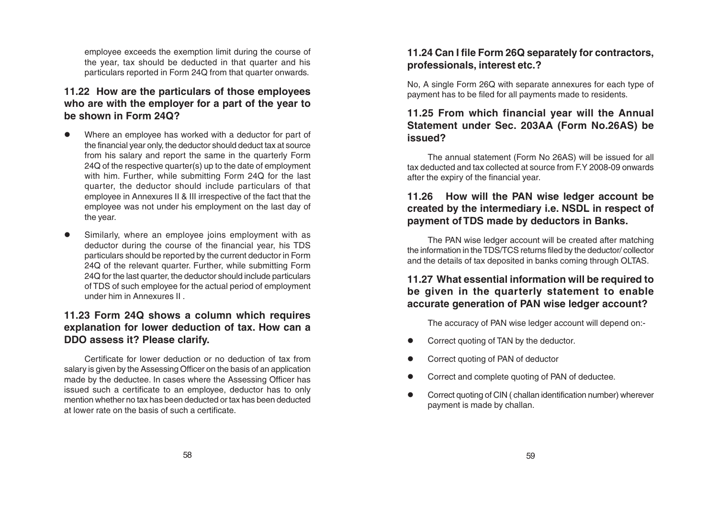employee exceeds the exemption limit during the course of the year, tax should be deducted in that quarter and his particulars reported in Form 24Q from that quarter onwards.

# **11.22 How are the particulars of those employees who are with the employer for a part of the year to be shown in Form 24Q?**

- Where an employee has worked with a deductor for part of the financial year only, the deductor should deduct tax at source from his salary and report the same in the quarterly Form 24Q of the respective quarter(s) up to the date of employment with him. Further, while submitting Form 24Q for the last quarter, the deductor should include particulars of that employee in Annexures II & III irrespective of the fact that the employee was not under his employment on the last day of the year.
- Similarly, where an employee joins employment with as deductor during the course of the financial year, his TDS particulars should be reported by the current deductor in Form 24Q of the relevant quarter. Further, while submitting Form 24Q for the last quarter, the deductor should include particulars of TDS of such employee for the actual period of employment under him in Annexures II .

# **11.23 Form 24Q shows a column which requires explanation for lower deduction of tax. How can a DDO assess it? Please clarify.**

Certificate for lower deduction or no deduction of tax from salary is given by the Assessing Officer on the basis of an application made by the deductee. In cases where the Assessing Officer has issued such a certificate to an employee, deductor has to only mention whether no tax has been deducted or tax has been deducted at lower rate on the basis of such a certificate.

# **11.24 Can I file Form 26Q separately for contractors, professionals, interest etc.?**

No, A single Form 26Q with separate annexures for each type of payment has to be filed for all payments made to residents.

# **11.25 From which financial year will the Annual Statement under Sec. 203AA (Form No.26AS) be issued?**

The annual statement (Form No 26AS) will be issued for all tax deducted and tax collected at source from F.Y. 2008-09 onwards after the expiry of the financial year.

# **11.26 How will the PAN wise ledger account be created by the intermediary i.e. NSDL in respect of payment of TDS made by deductors in Banks.**

The PAN wise ledger account will be created after matching the information in the TDS/TCS returns filed by the deductor/ collector and the details of tax deposited in banks coming through OLTAS.

# **11.27 What essential information will be required to be given in the quarterly statement to enable accurate generation of PAN wise ledger account?**

The accuracy of PAN wise ledger account will depend on:-

- Correct quoting of TAN by the deductor.
- Correct quoting of PAN of deductor
- Correct and complete quoting of PAN of deductee.
- Correct quoting of CIN ( challan identification number) wherever payment is made by challan.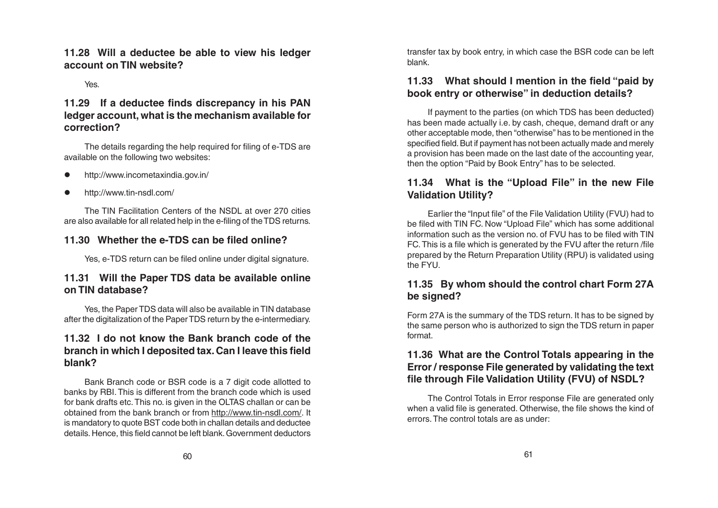**11.28 Will a deductee be able to view his ledger account on TIN website?**

Yes.

# **11.29 If a deductee finds discrepancy in his PAN ledger account, what is the mechanism available for correction?**

The details regarding the help required for filing of e-TDS are available on the following two websites:

- http://www.incometaxindia.gov.in/
- http://www.tin-nsdl.com/

The TIN Facilitation Centers of the NSDL at over 270 cities are also available for all related help in the e-filing of the TDS returns.

### **11.30 Whether the e-TDS can be filed online?**

Yes, e-TDS return can be filed online under digital signature.

# **11.31 Will the Paper TDS data be available online on TIN database?**

Yes, the Paper TDS data will also be available in TIN database after the digitalization of the Paper TDS return by the e-intermediary.

# **11.32 I do not know the Bank branch code of the branch in which I deposited tax. Can I leave this field blank?**

Bank Branch code or BSR code is a 7 digit code allotted to banks by RBI. This is different from the branch code which is used for bank drafts etc. This no. is given in the OLTAS challan or can be obtained from the bank branch or from http://www.tin-nsdl.com/. It is mandatory to quote BST code both in challan details and deductee details. Hence, this field cannot be left blank. Government deductors transfer tax by book entry, in which case the BSR code can be left blank.

# **11.33 What should I mention in the field "paid by book entry or otherwise" in deduction details?**

If payment to the parties (on which TDS has been deducted) has been made actually i.e. by cash, cheque, demand draft or any other acceptable mode, then "otherwise" has to be mentioned in the specified field. But if payment has not been actually made and merely a provision has been made on the last date of the accounting year, then the option "Paid by Book Entry" has to be selected.

# **11.34 What is the "Upload File" in the new File Validation Utility?**

Earlier the "Input file" of the File Validation Utility (FVU) had to be filed with TIN FC. Now "Upload File" which has some additional information such as the version no. of FVU has to be filed with TIN FC. This is a file which is generated by the FVU after the return /file prepared by the Return Preparation Utility (RPU) is validated using the FYU.

# **11.35 By whom should the control chart Form 27A be signed?**

Form 27A is the summary of the TDS return. It has to be signed by the same person who is authorized to sign the TDS return in paper format.

# **11.36 What are the Control Totals appearing in the Error / response File generated by validating the text file through File Validation Utility (FVU) of NSDL?**

The Control Totals in Error response File are generated only when a valid file is generated. Otherwise, the file shows the kind of errors. The control totals are as under: